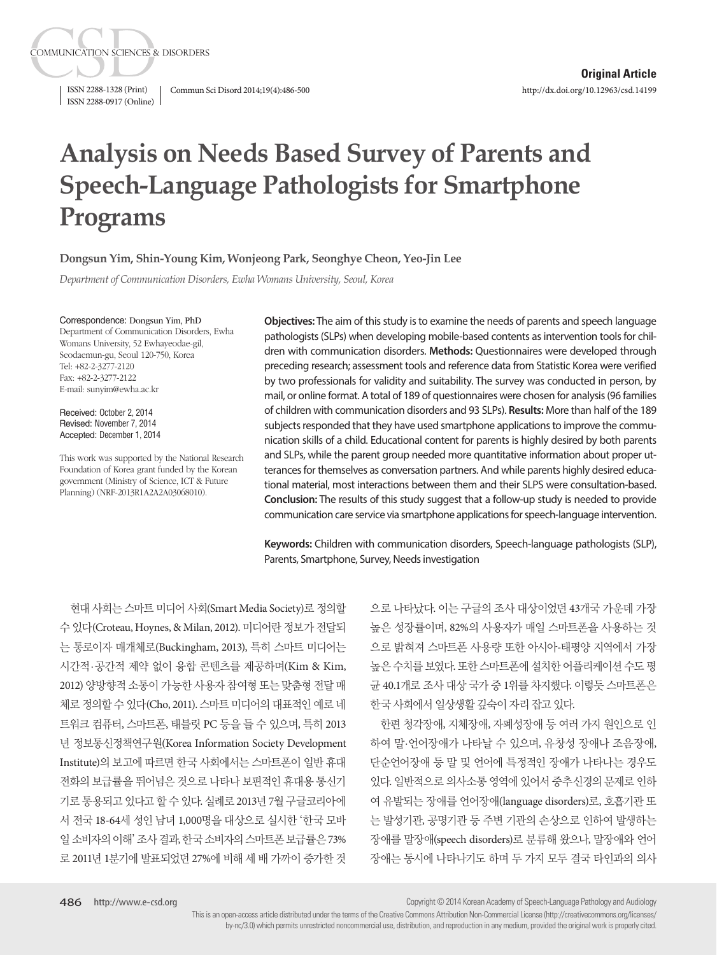ISSN 2288-1328 (Print) Commun Sci Disord 2014;19(4):486-500 ISSN 2288-0917 (Online)

**COMMUNICATION SCIENCES & DISORDERS** 

# **Analysis on Needs Based Survey of Parents and Speech-Language Pathologists for Smartphone Programs**

**Dongsun Yim, Shin-Young Kim, Wonjeong Park, Seonghye Cheon, Yeo-Jin Lee**

*Department of Communication Disorders, Ewha Womans University, Seoul, Korea*

Correspondence: Dongsun Yim, PhD Department of Communication Disorders, Ewha Womans University, 52 Ewhayeodae-gil, Seodaemun-gu, Seoul 120-750, Korea Tel: +82-2-3277-2120 Fax: +82-2-3277-2122 E-mail: sunyim@ewha.ac.kr

Received: October 2, 2014 Revised: November 7, 2014 Accepted: December 1, 2014

This work was supported by the National Research Foundation of Korea grant funded by the Korean government (Ministry of Science, ICT & Future Planning) (NRF-2013R1A2A2A03068010).

**Objectives:** The aim of this study is to examine the needs of parents and speech language pathologists (SLPs) when developing mobile-based contents as intervention tools for children with communication disorders. **Methods:** Questionnaires were developed through preceding research; assessment tools and reference data from Statistic Korea were verified by two professionals for validity and suitability. The survey was conducted in person, by mail, or online format. A total of 189 of questionnaires were chosen for analysis (96 families of children with communication disorders and 93 SLPs). **Results:** More than half of the 189 subjects responded that they have used smartphone applications to improve the communication skills of a child. Educational content for parents is highly desired by both parents and SLPs, while the parent group needed more quantitative information about proper utterances for themselves as conversation partners. And while parents highly desired educational material, most interactions between them and their SLPS were consultation-based. **Conclusion:** The results of this study suggest that a follow-up study is needed to provide communication care service via smartphone applications for speech-language intervention.

**Keywords:** Children with communication disorders, Speech-language pathologists (SLP), Parents, Smartphone, Survey, Needs investigation

현대 사회는 스마트 미디어 사회(Smart Media Society)로 정의할 수 있다(Croteau, Hoynes, & Milan, 2012). 미디어란 정보가 전달되 는 통로이자 매개체로(Buckingham, 2013), 특히 스마트 미디어는 시간적·공간적 제약 없이 융합 콘텐츠를 제공하며(Kim & Kim, 2012) 양방향적 소통이 가능한 사용자 참여형 또는 맞춤형 전달 매 체로 정의할 수 있다(Cho, 2011). 스마트 미디어의 대표적인 예로 네 트워크 컴퓨터, 스마트폰, 태블릿 PC 등을 들 수 있으며, 특히 2013 년 정보통신정책연구원(Korea Information Society Development Institute)의 보고에 따르면 한국 사회에서는 스마트폰이 일반 휴대 전화의 보급률을 뛰어넘은 것으로 나타나 보편적인 휴대용 통신기 기로 통용되고 있다고 할 수 있다. 실례로 2013년 7월 구글코리아에 서 전국 18-64세 성인 남녀 1,000명을 대상으로 실시한 '한국 모바 일소비자의이해'조사결과, 한국소비자의스마트폰보급률은 73% 로 2011년 1분기에 발표되었던 27%에 비해 세 배 가까이 증가한 것

으로 나타났다. 이는 구글의 조사 대상이었던 43개국 가운데 가장 높은 성장률이며, 82%의 사용자가 매일 스마트폰을 사용하는 것 으로 밝혀져 스마트폰 사용량 또한 아시아-태평양 지역에서 가장 높은 수치를 보였다. 또한 스마트폰에 설치한 어플리케이션 수도 평 균 40.1개로 조사 대상 국가 중 1위를 차지했다. 이렇듯 스마트폰은 한국 사회에서 일상생활 깊숙이 자리 잡고 있다.

한편 청각장애, 지체장애, 자폐성장애 등 여러 가지 원인으로 인 하여 말·언어장애가 나타날 수 있으며, 유창성 장애나 조음장애, 단순언어장애 등 말 및 언어에 특정적인 장애가 나타나는 경우도 있다. 일반적으로 의사소통 영역에 있어서 중추신경의 문제로 인하 여 유발되는 장애를 언어장애(language disorders)로, 호흡기관 또 는 발성기관, 공명기관 등 주변 기관의 손상으로 인하여 발생하는 장애를 말장애(speech disorders)로 분류해 왔으나, 말장애와 언어 장애는 동시에 나타나기도 하며 두 가지 모두 결국 타인과의 의사

Copyright © 2014 Korean Academy of Speech-Language Pathology and Audiology

This is an open-access article distributed under the terms of the Creative Commons Attribution Non-Commercial License (http://creativecommons.org/licenses/ by-nc/3.0) which permits unrestricted noncommercial use, distribution, and reproduction in any medium, provided the original work is properly cited.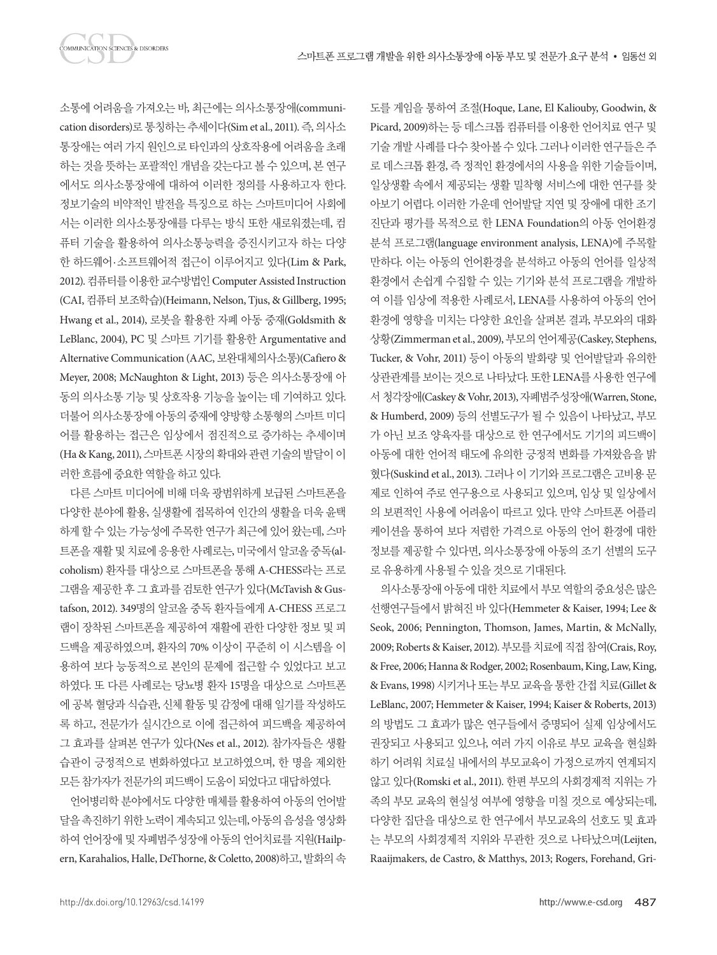소통에 어려움을 가져오는 바, 최근에는 의사소통장애(communication disorders)로 통칭하는 추세이다(Sim et al., 2011). 즉, 의사소 통장애는 여러 가지 원인으로 타인과의 상호작용에 어려움을 초래 하는 것을 뜻하는 포괄적인 개념을 갖는다고 볼 수 있으며, 본 연구 에서도 의사소통장애에 대하여 이러한 정의를 사용하고자 한다. 정보기술의 비약적인 발전을 특징으로 하는 스마트미디어 사회에 서는 이러한 의사소통장애를 다루는 방식 또한 새로워졌는데, 컴 퓨터 기술을 활용하여 의사소통능력을 증진시키고자 하는 다양 한 하드웨어·소프트웨어적 접근이 이루어지고 있다(Lim & Park, 2012). 컴퓨터를이용한교수방법인 Computer Assisted Instruction (CAI, 컴퓨터 보조학습)(Heimann, Nelson, Tjus, & Gillberg, 1995; Hwang et al., 2014), 로봇을 활용한 자폐 아동 중재(Goldsmith & LeBlanc, 2004), PC 및 스마트 기기를 활용한 Argumentative and Alternative Communication (AAC, 보완대체의사소통)(Cafiero & Meyer, 2008; McNaughton & Light, 2013) 등은 의사소통장애 아 동의 의사소통 기능 및 상호작용 기능을 높이는 데 기여하고 있다. 더불어 의사소통장애아동의중재에양방향소통형의스마트미디 어를 활용하는 접근은 임상에서 점진적으로 증가하는 추세이며 (Ha & Kang, 2011), 스마트폰 시장의 확대와 관련 기술의 발달이 이 러한흐름에중요한역할을하고있다.

다른 스마트 미디어에 비해 더욱 광범위하게 보급된 스마트폰을 다양한 분야에 활용, 실생활에 접목하여 인간의 생활을 더욱 윤택 하게 할 수 있는 가능성에 주목한 연구가 최근에 있어 왔는데, 스마 트폰을 재활 및 치료에 응용한 사례로는, 미국에서 알코올 중독(alcoholism) 환자를 대상으로 스마트폰을 통해 A-CHESS라는 프로 그램을 제공한 후 그 효과를 검토한 연구가 있다(McTavish & Gustafson, 2012). 349명의 알코올 중독 환자들에게 A-CHESS 프로그 램이 장착된 스마트폰을 제공하여 재활에 관한 다양한 정보 및 피 드백을 제공하였으며, 환자의 70% 이상이 꾸준히 이 시스템을 이 용하여 보다 능동적으로 본인의 문제에 접근할 수 있었다고 보고 하였다. 또 다른 사례로는 당뇨병 환자 15명을 대상으로 스마트폰 에 공복 혈당과 식습관, 신체 활동 및 감정에 대해 일기를 작성하도 록 하고, 전문가가 실시간으로 이에 접근하여 피드백을 제공하여 그 효과를 살펴본 연구가 있다(Nes et al., 2012). 참가자들은 생활 습관이 긍정적으로 변화하였다고 보고하였으며, 한 명을 제외한 모든 참가자가 전문가의 피드백이 도움이 되었다고 대답하였다.

언어병리학 분야에서도 다양한 매체를 활용하여 아동의 언어발 달을촉진하기위한노력이계속되고있는데, 아동의음성을영상화 하여 언어장애 및 자폐범주성장애 아동의 언어치료를 지원(Hailpern, Karahalios, Halle, DeThorne, & Coletto, 2008)하고, 발화의속 도를 게임을 통하여 조절(Hoque, Lane, El Kaliouby, Goodwin, & Picard, 2009)하는 등 데스크톱 컴퓨터를 이용한 언어치료 연구 및 기술 개발 사례를 다수 찾아볼 수 있다. 그러나 이러한 연구들은 주 로 데스크톱 환경, 즉 정적인 환경에서의 사용을 위한 기술들이며, 일상생활 속에서 제공되는 생활 밀착형 서비스에 대한 연구를 찾 아보기 어렵다. 이러한 가운데 언어발달 지연 및 장애에 대한 조기 진단과 평가를 목적으로 한 LENA Foundation의 아동 언어환경 분석 프로그램(language environment analysis, LENA)에 주목할 만하다. 이는 아동의 언어환경을 분석하고 아동의 언어를 일상적 환경에서 손쉽게 수집할 수 있는 기기와 분석 프로그램을 개발하 여 이를 임상에 적용한 사례로서, LENA를 사용하여 아동의 언어 환경에 영향을 미치는 다양한 요인을 살펴본 결과, 부모와의 대화 상황(Zimmerman et al., 2009), 부모의 언어제공(Caskey, Stephens, Tucker, & Vohr, 2011) 등이 아동의 발화량 및 언어발달과 유의한 상관관계를 보이는 것으로 나타났다. 또한 LENA를 사용한 연구에 서 청각장애(Caskey & Vohr, 2013), 자폐범주성장애(Warren, Stone, & Humberd, 2009) 등의 선별도구가 될 수 있음이 나타났고, 부모 가 아닌 보조 양육자를 대상으로 한 연구에서도 기기의 피드백이 아동에 대한 언어적 태도에 유의한 긍정적 변화를 가져왔음을 밝 혔다(Suskind et al., 2013). 그러나 이 기기와 프로그램은 고비용 문 제로 인하여 주로 연구용으로 사용되고 있으며, 임상 및 일상에서 의 보편적인 사용에 어려움이 따르고 있다. 만약 스마트폰 어플리 케이션을 통하여 보다 저렴한 가격으로 아동의 언어 환경에 대한 정보를 제공할 수 있다면, 의사소통장애 아동의 조기 선별의 도구 로유용하게사용될수있을것으로기대된다.

의사소통장애 아동에 대한 치료에서 부모 역할의 중요성은 많은 선행연구들에서 밝혀진 바 있다(Hemmeter & Kaiser, 1994; Lee & Seok, 2006; Pennington, Thomson, James, Martin, & McNally, 2009; Roberts & Kaiser, 2012). 부모를 치료에 직접 참여(Crais, Roy, & Free, 2006; Hanna & Rodger, 2002; Rosenbaum, King, Law, King, & Evans, 1998) 시키거나 또는 부모 교육을 통한 간접 치료(Gillet & LeBlanc, 2007; Hemmeter & Kaiser, 1994; Kaiser & Roberts, 2013) 의 방법도 그 효과가 많은 연구들에서 증명되어 실제 임상에서도 권장되고 사용되고 있으나, 여러 가지 이유로 부모 교육을 현실화 하기 어려워 치료실 내에서의 부모교육이 가정으로까지 연계되지 않고 있다(Romski et al., 2011). 한편 부모의 사회경제적 지위는 가 족의 부모 교육의 현실성 여부에 영향을 미칠 것으로 예상되는데, 다양한 집단을 대상으로 한 연구에서 부모교육의 선호도 및 효과 는 부모의 사회경제적 지위와 무관한 것으로 나타났으며(Leijten, Raaijmakers, de Castro, & Matthys, 2013; Rogers, Forehand, Gri-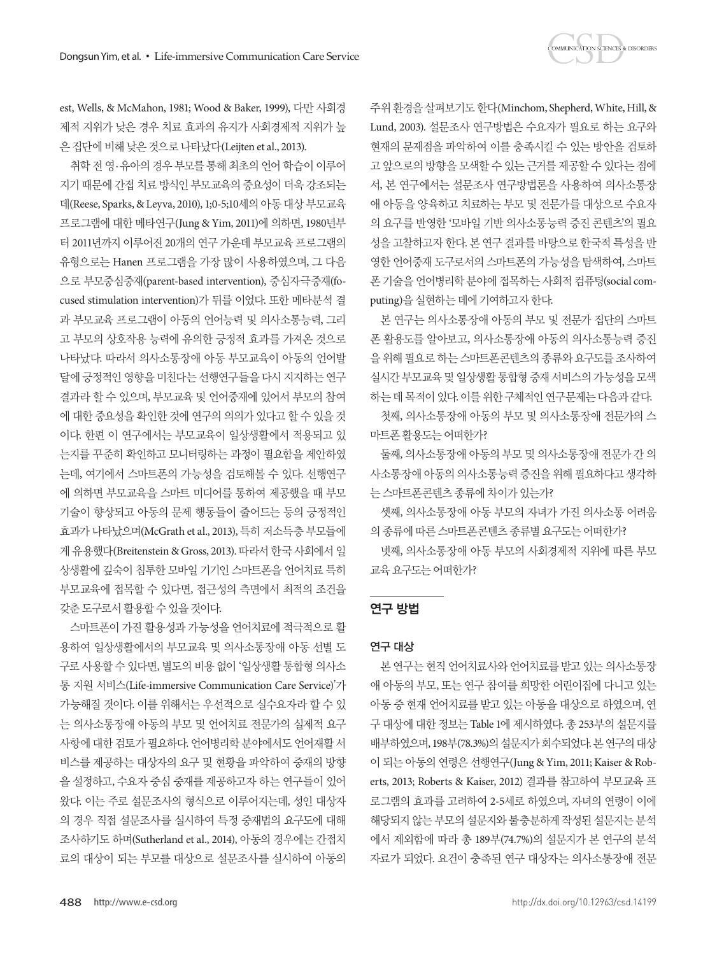

est, Wells, & McMahon, 1981; Wood & Baker, 1999), 다만 사회경 제적 지위가 낮은 경우 치료 효과의 유지가 사회경제적 지위가 높 은 집단에 비해 낮은 것으로 나타났다(Leijten et al., 2013).

취학 전 영·유아의 경우 부모를 통해 최초의 언어 학습이 이루어 지기 때문에 간접 치료 방식인 부모교육의 중요성이 더욱 강조되는 데(Reese, Sparks, & Leyva, 2010), 1;0-5;10세의 아동 대상 부모교육 프로그램에 대한 메타연구(Jung & Yim, 2011)에 의하면, 1980년부 터 2011년까지 이루어진 20개의 연구 가운데 부모교육 프로그램의 유형으로는 Hanen 프로그램을 가장 많이 사용하였으며, 그 다음 으로 부모중심중재(parent-based intervention), 중심자극중재(focused stimulation intervention)가 뒤를 이었다. 또한 메타분석 결 과 부모교육 프로그램이 아동의 언어능력 및 의사소통능력, 그리 고 부모의 상호작용 능력에 유의한 긍정적 효과를 가져온 것으로 나타났다. 따라서 의사소통장애 아동 부모교육이 아동의 언어발 달에 긍정적인 영향을 미친다는 선행연구들을 다시 지지하는 연구 결과라 할 수 있으며, 부모교육 및 언어중재에 있어서 부모의 참여 에 대한 중요성을 확인한 것에 연구의 의의가 있다고 할 수 있을 것 이다. 한편 이 연구에서는 부모교육이 일상생활에서 적용되고 있 는지를 꾸준히 확인하고 모니터링하는 과정이 필요함을 제안하였 는데, 여기에서 스마트폰의 가능성을 검토해볼 수 있다. 선행연구 에 의하면 부모교육을 스마트 미디어를 통하여 제공했을 때 부모 기술이 향상되고 아동의 문제 행동들이 줄어드는 등의 긍정적인 효과가 나타났으며(McGrath et al., 2013), 특히 저소득층 부모들에 게 유용했다(Breitenstein & Gross, 2013). 따라서 한국 사회에서 일 상생활에 깊숙이 침투한 모바일 기기인 스마트폰을 언어치료 특히 부모교육에 접목할 수 있다면, 접근성의 측면에서 최적의 조건을 갖춘도구로서활용할수있을것이다.

스마트폰이 가진 활용성과 가능성을 언어치료에 적극적으로 활 용하여 일상생활에서의 부모교육 및 의사소통장애 아동 선별 도 구로 사용할 수 있다면, 별도의 비용 없이 '일상생활 통합형 의사소 통 지원 서비스(Life-immersive Communication Care Service)'가 가능해질 것이다. 이를 위해서는 우선적으로 실수요자라 할 수 있 는 의사소통장애 아동의 부모 및 언어치료 전문가의 실제적 요구 사항에 대한 검토가 필요하다. 언어병리학 분야에서도 언어재활 서 비스를 제공하는 대상자의 요구 및 현황을 파악하여 중재의 방향 을 설정하고, 수요자 중심 중재를 제공하고자 하는 연구들이 있어 왔다. 이는 주로 설문조사의 형식으로 이루어지는데, 성인 대상자 의 경우 직접 설문조사를 실시하여 특정 중재법의 요구도에 대해 조사하기도 하며(Sutherland et al., 2014), 아동의 경우에는 간접치 료의 대상이 되는 부모를 대상으로 설문조사를 실시하여 아동의

주위환경을살펴보기도한다(Minchom, Shepherd, White, Hill, & Lund, 2003). 설문조사 연구방법은 수요자가 필요로 하는 요구와 현재의 문제점을 파악하여 이를 충족시킬 수 있는 방안을 검토하 고 앞으로의 방향을 모색할 수 있는 근거를 제공할 수 있다는 점에 서, 본 연구에서는 설문조사 연구방법론을 사용하여 의사소통장 애 아동을 양육하고 치료하는 부모 및 전문가를 대상으로 수요자 의 요구를 반영한 '모바일 기반 의사소통능력 증진 콘텐츠'의 필요 성을 고찰하고자 한다. 본 연구 결과를 바탕으로 한국적 특성을 반 영한 언어중재 도구로서의 스마트폰의 가능성을 탐색하여, 스마트 폰 기술을 언어병리학 분야에 접목하는 사회적 컴퓨팅(social computing)을 실현하는 데에 기여하고자 한다.

본 연구는 의사소통장애 아동의 부모 및 전문가 집단의 스마트 폰 활용도를 알아보고, 의사소통장애 아동의 의사소통능력 증진 을 위해 필요로 하는 스마트폰콘텐츠의 종류와 요구도를 조사하여 실시간 부모교육 및 일상생활 통합형 중재 서비스의 가능성을 모색 하는 데 목적이 있다. 이를 위한 구체적인 연구문제는 다음과 같다. 첫째, 의사소통장애 아동의 부모 및 의사소통장애 전문가의 스

마트폰활용도는어떠한가?

둘째, 의사소통장애 아동의 부모 및 의사소통장애 전문가 간 의 사소통장애 아동의 의사소통능력 증진을 위해 필요하다고 생각하 는스마트폰콘텐츠종류에차이가있는가?

셋째, 의사소통장애 아동 부모의 자녀가 가진 의사소통 어려움 의종류에따른스마트폰콘텐츠종류별요구도는어떠한가?

넷째, 의사소통장애 아동 부모의 사회경제적 지위에 따른 부모 교육요구도는어떠한가?

## 연구 방법

### 연구 대상

본 연구는 현직 언어치료사와 언어치료를 받고 있는 의사소통장 애 아동의 부모, 또는 연구 참여를 희망한 어린이집에 다니고 있는 아동 중 현재 언어치료를 받고 있는 아동을 대상으로 하였으며, 연 구 대상에 대한 정보는 Table 1에 제시하였다. 총 253부의 설문지를 배부하였으며, 198부(78.3%)의 설문지가 회수되었다. 본 연구의 대상 이 되는 아동의 연령은 선행연구(Jung & Yim, 2011; Kaiser & Roberts, 2013; Roberts & Kaiser, 2012) 결과를 참고하여 부모교육 프 로그램의 효과를 고려하여 2-5세로 하였으며, 자녀의 연령이 이에 해당되지 않는 부모의 설문지와 불충분하게 작성된 설문지는 분석 에서 제외함에 따라 총 189부(74.7%)의 설문지가 본 연구의 분석 자료가 되었다. 요건이 충족된 연구 대상자는 의사소통장애 전문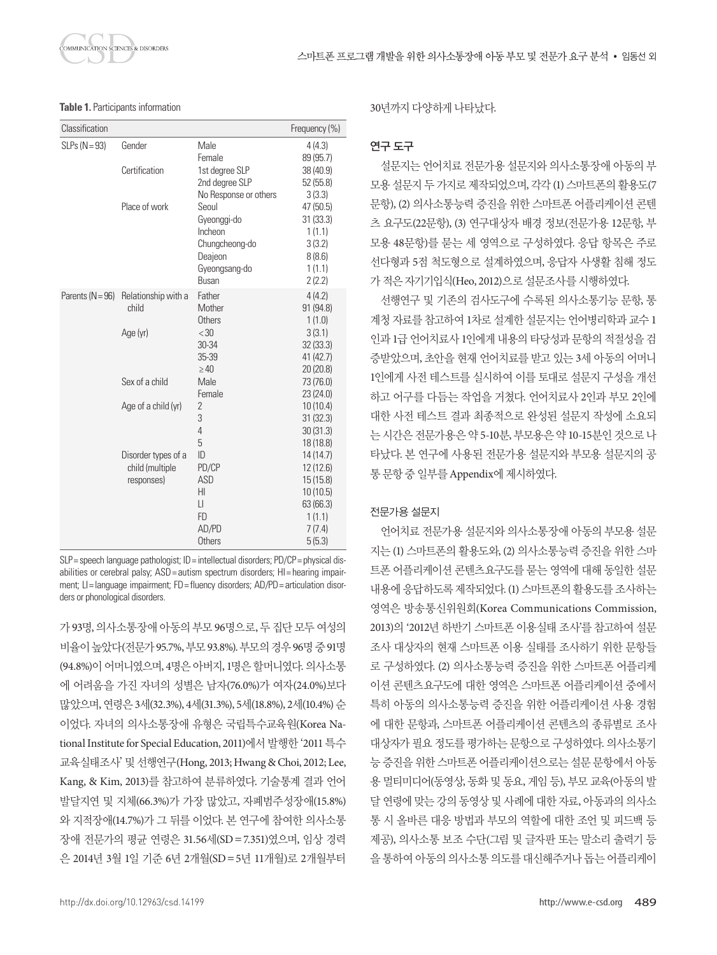

| Classification     | Frequency (%)       |                           |                      |
|--------------------|---------------------|---------------------------|----------------------|
| $SLPs (N = 93)$    | Gender              | Male<br>Female            | 4(4.3)<br>89 (95.7)  |
|                    | Certification       | 1st degree SLP            | 38(40.9)             |
|                    |                     | 2nd degree SLP            | 52(55.8)             |
|                    |                     | No Response or others     | 3(3.3)               |
|                    | Place of work       | Seoul                     | 47 (50.5)            |
|                    |                     | Gyeonggi-do               | 31(33.3)             |
|                    |                     | Incheon                   | 1(1.1)               |
|                    |                     | Chungcheong-do<br>Deajeon | 3(3.2)<br>8(8.6)     |
|                    |                     | Gyeongsang-do             | 1(1.1)               |
|                    |                     | <b>Busan</b>              | 2(2.2)               |
| Parents $(N = 96)$ | Relationship with a | Father                    | 4(4.2)               |
|                    | child               | Mother                    | 91 (94.8)            |
|                    |                     | Others                    | 1(1.0)               |
|                    | Age (yr)            | <30                       | 3(3.1)               |
|                    |                     | 30-34                     | 32(33.3)             |
|                    |                     | 35-39                     | 41 (42.7)            |
|                    |                     | $\geq 40$                 | 20(20.8)             |
|                    | Sex of a child      | Male                      | 73 (76.0)            |
|                    |                     | Female<br>$\overline{2}$  | 23(24.0)             |
|                    | Age of a child (yr) | 3                         | 10(10.4)<br>31(32.3) |
|                    |                     | 4                         | 30(31.3)             |
|                    |                     | 5                         | 18 (18.8)            |
|                    | Disorder types of a | ID                        | 14 (14.7)            |
|                    | child (multiple     | PD/CP                     | 12 (12.6)            |
|                    | responses)          | <b>ASD</b>                | 15(15.8)             |
|                    |                     | HI                        | 10(10.5)             |
|                    |                     | $\mathbf{L}$              | 63 (66.3)            |
|                    |                     | FD                        | 1(1.1)               |
|                    |                     | AD/PD                     | 7(7.4)               |
|                    |                     | <b>Others</b>             | 5(5.3)               |

SLP= speech language pathologist; ID = intellectual disorders; PD/CP = physical disabilities or cerebral palsy; ASD = autism spectrum disorders; HI = hearing impairment; LI= language impairment; FD= fluency disorders; AD/PD= articulation disorders or phonological disorders.

가 93명, 의사소통장애 아동의 부모 96명으로, 두 집단 모두 여성의 비율이높았다(전문가 95.7%, 부모 93.8%). 부모의경우 96명중 91명 (94.8%)이 어머니였으며, 4명은 아버지, 1명은 할머니였다. 의사소통 에 어려움을 가진 자녀의 성별은 남자(76.0%)가 여자(24.0%)보다 많았으며, 연령은 3세(32.3%), 4세(31.3%), 5세(18.8%), 2세(10.4%) 순 이었다. 자녀의 의사소통장애 유형은 국립특수교육원(Korea National Institute for Special Education, 2011)에서 발행한 '2011 특수 교육실태조사'및선행연구(Hong, 2013; Hwang & Choi, 2012; Lee, Kang, & Kim, 2013)를 참고하여 분류하였다. 기술통계 결과 언어 발달지연 및 지체(66.3%)가 가장 많았고, 자폐범주성장애(15.8%) 와 지적장애(14.7%)가 그 뒤를 이었다. 본 연구에 참여한 의사소통 장애 전문가의 평균 연령은 31.56세(SD=7.351)였으며, 임상 경력 은 2014년 3월 1일 기준 6년 2개월(SD=5년 11개월)로 2개월부터 30년까지다양하게나타났다.

## 연구 도구

설문지는 언어치료 전문가용 설문지와 의사소통장애 아동의 부 모용 설문지 두 가지로 제작되었으며, 각각 (1) 스마트폰의 활용도(7 문항), (2) 의사소통능력 증진을 위한 스마트폰 어플리케이션 콘텐 츠 요구도(22문항), (3) 연구대상자 배경 정보(전문가용 12문항, 부 모용 48문항)를 묻는 세 영역으로 구성하였다. 응답 항목은 주로 선다형과 5점 척도형으로 설계하였으며, 응답자 사생활 침해 정도 가적은자기기입식(Heo, 2012)으로설문조사를시행하였다.

선행연구 및 기존의 검사도구에 수록된 의사소통기능 문항, 통 계청 자료를 참고하여 1차로 설계한 설문지는 언어병리학과 교수 1 인과 1급 언어치료사 1인에게 내용의 타당성과 문항의 적절성을 검 증받았으며, 초안을 현재 언어치료를 받고 있는 3세 아동의 어머니 1인에게 사전 테스트를 실시하여 이를 토대로 설문지 구성을 개선 하고 어구를 다듬는 작업을 거쳤다. 언어치료사 2인과 부모 2인에 대한 사전 테스트 결과 최종적으로 완성된 설문지 작성에 소요되 는 시간은 전문가용은 약 5-10분, 부모용은 약 10-15분인 것으로 나 타났다. 본 연구에 사용된 전문가용 설문지와 부모용 설문지의 공 통문항중일부를 Appendix에제시하였다.

### 전문가용 설문지

언어치료 전문가용 설문지와 의사소통장애 아동의 부모용 설문 지는 (1) 스마트폰의 활용도와, (2) 의사소통능력 증진을 위한 스마 트폰 어플리케이션 콘텐츠요구도를 묻는 영역에 대해 동일한 설문 내용에 응답하도록 제작되었다. (1) 스마트폰의 활용도를 조사하는 영역은 방송통신위원회(Korea Communications Commission, 2013)의 '2012년 하반기 스마트폰 이용실태 조사'를 참고하여 설문 조사 대상자의 현재 스마트폰 이용 실태를 조사하기 위한 문항들 로 구성하였다. (2) 의사소통능력 증진을 위한 스마트폰 어플리케 이션 콘텐츠요구도에 대한 영역은 스마트폰 어플리케이션 중에서 특히 아동의 의사소통능력 증진을 위한 어플리케이션 사용 경험 에 대한 문항과, 스마트폰 어플리케이션 콘텐츠의 종류별로 조사 대상자가 필요 정도를 평가하는 문항으로 구성하였다. 의사소통기 능 증진을 위한 스마트폰 어플리케이션으로는 설문 문항에서 아동 용 멀티미디어(동영상, 동화 및 동요, 게임 등), 부모 교육(아동의 발 달 연령에 맞는 강의 동영상 및 사례에 대한 자료, 아동과의 의사소 통 시 올바른 대응 방법과 부모의 역할에 대한 조언 및 피드백 등 제공), 의사소통 보조 수단(그림 및 글자판 또는 말소리 출력기 등 을 통하여 아동의 의사소통 의도를 대신해주거나 돕는 어플리케이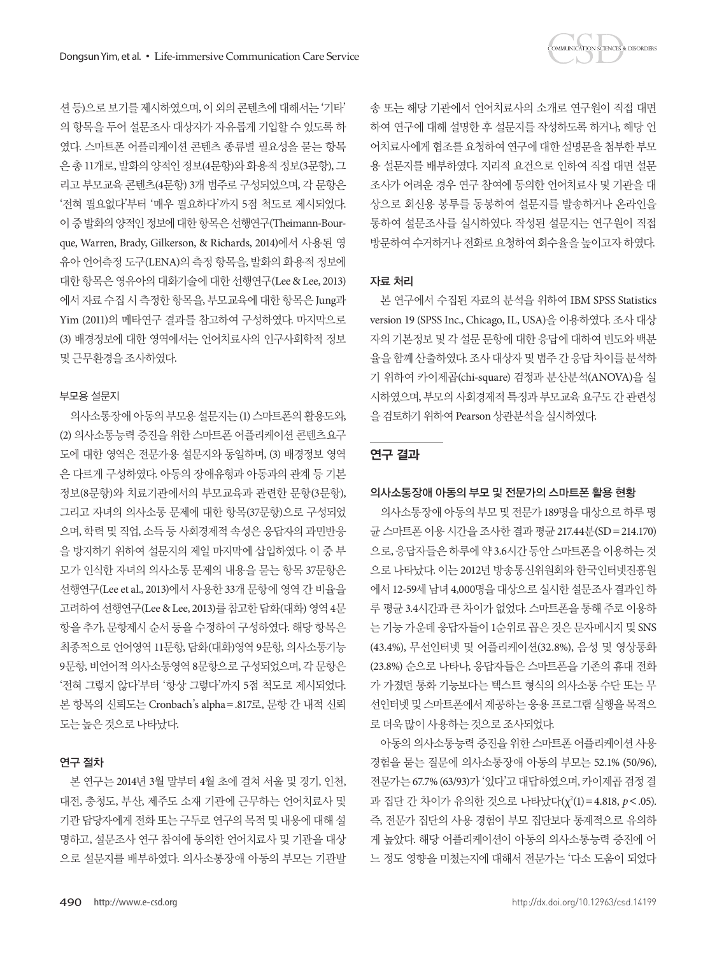

션등)으로보기를제시하였으며, 이외의콘텐츠에대해서는'기타' 의 항목을 두어 설문조사 대상자가 자유롭게 기입할 수 있도록 하 였다. 스마트폰 어플리케이션 콘텐츠 종류별 필요성을 묻는 항목 은 총 11개로, 발화의 양적인 정보(4문항)와 화용적 정보(3문항), 그 리고 부모교육 콘텐츠(4문항) 3개 범주로 구성되었으며, 각 문항은 '전혀 필요없다'부터 '매우 필요하다'까지 5점 척도로 제시되었다. 이중발화의양적인정보에대한항목은선행연구(Theimann-Bourque, Warren, Brady, Gilkerson, & Richards, 2014)에서 사용된 영 유아 언어측정 도구(LENA)의 측정 항목을, 발화의 화용적 정보에 대한 항목은 영유아의 대화기술에 대한 선행연구(Lee & Lee, 2013) 에서 자료 수집 시 측정한 항목을, 부모교육에 대한 항목은 Jung과 Yim (2011)의 메타연구 결과를 참고하여 구성하였다. 마지막으로 (3) 배경정보에 대한 영역에서는 언어치료사의 인구사회학적 정보 및근무환경을조사하였다.

### 부모용 설문지

의사소통장애 아동의 부모용 설문지는 (1) 스마트폰의 활용도와, (2) 의사소통능력 증진을 위한 스마트폰 어플리케이션 콘텐츠요구 도에 대한 영역은 전문가용 설문지와 동일하며, (3) 배경정보 영역 은 다르게 구성하였다. 아동의 장애유형과 아동과의 관계 등 기본 정보(8문항)와 치료기관에서의 부모교육과 관련한 문항(3문항), 그리고 자녀의 의사소통 문제에 대한 항목(37문항)으로 구성되었 으며, 학력 및 직업, 소득 등 사회경제적 속성은 응답자의 과민반응 을 방지하기 위하여 설문지의 제일 마지막에 삽입하였다. 이 중 부 모가 인식한 자녀의 의사소통 문제의 내용을 묻는 항목 37문항은 선행연구(Lee et al., 2013)에서 사용한 33개 문항에 영역 간 비율을 고려하여 선행연구(Lee & Lee, 2013)를 참고한 담화(대화) 영역 4문 항을 추가, 문항제시 순서 등을 수정하여 구성하였다. 해당 항목은 최종적으로 언어영역 11문항, 담화(대화)영역 9문항, 의사소통기능 9문항, 비언어적 의사소통영역 8문항으로 구성되었으며, 각 문항은 '전혀 그렇지 않다'부터 '항상 그렇다'까지 5점 척도로 제시되었다. 본 항목의 신뢰도는 Cronbach's alpha=.817로, 문항 간 내적 신뢰 도는높은것으로나타났다.

### 연구 절차

본 연구는 2014년 3월 말부터 4월 초에 걸쳐 서울 및 경기, 인천, 대전, 충청도, 부산, 제주도 소재 기관에 근무하는 언어치료사 및 기관 담당자에게 전화 또는 구두로 연구의 목적 및 내용에 대해 설 명하고, 설문조사 연구 참여에 동의한 언어치료사 및 기관을 대상 으로 설문지를 배부하였다. 의사소통장애 아동의 부모는 기관발 송 또는 해당 기관에서 언어치료사의 소개로 연구원이 직접 대면 하여 연구에 대해 설명한 후 설문지를 작성하도록 하거나, 해당 언 어치료사에게 협조를 요청하여 연구에 대한 설명문을 첨부한 부모 용 설문지를 배부하였다. 지리적 요건으로 인하여 직접 대면 설문 조사가 어려운 경우 연구 참여에 동의한 언어치료사 및 기관을 대 상으로 회신용 봉투를 동봉하여 설문지를 발송하거나 온라인을 통하여 설문조사를 실시하였다. 작성된 설문지는 연구원이 직접 방문하여수거하거나전화로요청하여회수율을높이고자하였다.

#### 자료 처리

본 연구에서 수집된 자료의 분석을 위하여 IBM SPSS Statistics version 19 (SPSS Inc., Chicago, IL, USA)을 이용하였다. 조사 대상 자의 기본정보 및 각 설문 문항에 대한 응답에 대하여 빈도와 백분 율을 함께 산출하였다. 조사 대상자 및 범주 간 응답 차이를 분석하 기 위하여 카이제곱(chi-square) 검정과 분산분석(ANOVA)을 실 시하였으며, 부모의 사회경제적 특징과 부모교육 요구도 간 관련성 을검토하기위하여 Pearson 상관분석을실시하였다.

# 연구 결과

#### 의사소통장애 아동의 부모 및 전문가의 스마트폰 활용 현황

의사소통장애 아동의 부모 및 전문가 189명을 대상으로 하루 평 균 스마트폰 이용 시간을 조사한 결과 평균 217.44분(SD=214.170) 으로, 응답자들은 하루에 약 3.6시간 동안 스마트폰을 이용하는 것 으로 나타났다. 이는 2012년 방송통신위원회와 한국인터넷진흥원 에서 12-59세 남녀 4,000명을 대상으로 실시한 설문조사 결과인 하 루 평균 3.4시간과 큰 차이가 없었다. 스마트폰을 통해 주로 이용하 는 기능 가운데 응답자들이 1순위로 꼽은 것은 문자메시지 및 SNS (43.4%), 무선인터넷 및 어플리케이션(32.8%), 음성 및 영상통화 (23.8%) 순으로 나타나, 응답자들은 스마트폰을 기존의 휴대 전화 가 가졌던 통화 기능보다는 텍스트 형식의 의사소통 수단 또는 무 선인터넷 및 스마트폰에서 제공하는 응용 프로그램 실행을 목적으 로더욱많이사용하는것으로조사되었다.

아동의 의사소통능력 증진을 위한 스마트폰 어플리케이션 사용 경험을 묻는 질문에 의사소통장애 아동의 부모는 52.1% (50/96), 전문가는 67.7% (63/93)가 '있다'고 대답하였으며, 카이제곱검정 결 과 집단 간 차이가 유의한 것으로 나타났다(χ<sup>2</sup>(1)=4.818, *p*<.05). 즉, 전문가 집단의 사용 경험이 부모 집단보다 통계적으로 유의하 게 높았다. 해당 어플리케이션이 아동의 의사소통능력 증진에 어 느 정도 영향을 미쳤는지에 대해서 전문가는 '다소 도움이 되었다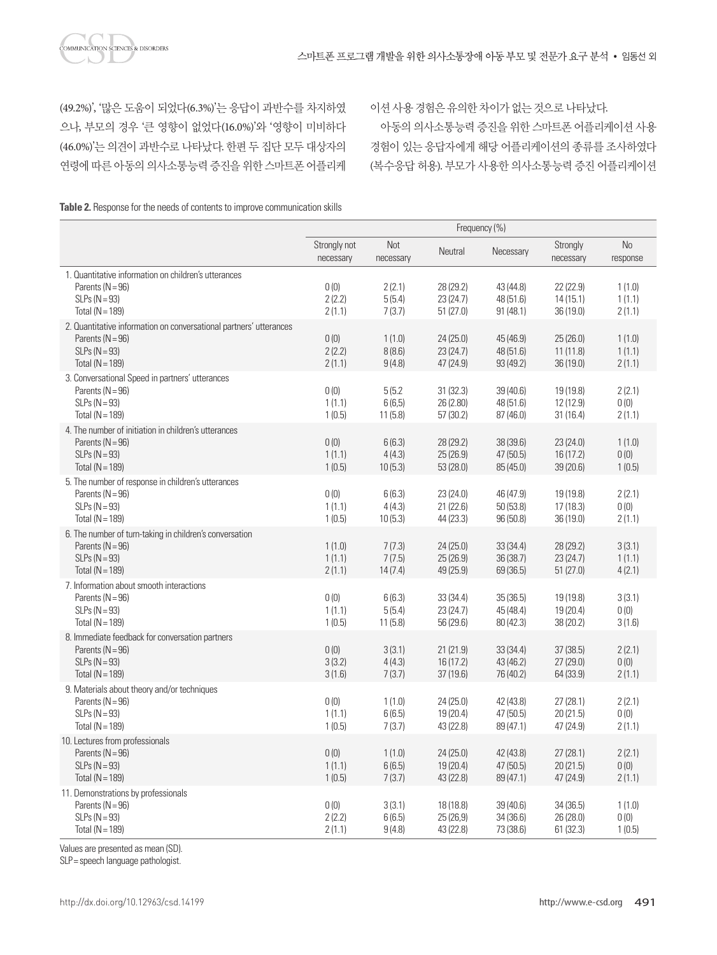(49.2%)', '많은 도움이 되었다(6.3%)'는 응답이 과반수를 차지하였 으나, 부모의 경우 '큰 영향이 없었다(16.0%)'와 '영향이 미비하다 (46.0%)'는 의견이 과반수로 나타났다. 한편 두 집단 모두 대상자의 연령에 따른 아동의 의사소통능력 증진을 위한 스마트폰 어플리케 이션사용경험은유의한차이가없는것으로나타났다.

아동의 의사소통능력 증진을 위한 스마트폰 어플리케이션 사용 경험이 있는 응답자에게 해당 어플리케이션의 종류를 조사하였다 (복수응답 허용). 부모가 사용한 의사소통능력 증진 어플리케이션

**Table 2.** Response for the needs of contents to improve communication skills

|                                                                                                                                    | Frequency (%)              |                             |                                     |                                     |                                     |                            |
|------------------------------------------------------------------------------------------------------------------------------------|----------------------------|-----------------------------|-------------------------------------|-------------------------------------|-------------------------------------|----------------------------|
|                                                                                                                                    | Strongly not<br>necessary  | Not<br>necessary            | Neutral                             | Necessary                           | Strongly<br>necessary               | No<br>response             |
| 1. Quantitative information on children's utterances<br>Parents $(N = 96)$<br>$SLPs (N = 93)$<br>Total ( $N = 189$ )               | 0(0)<br>2(2.2)<br>2(1.1)   | 2(2.1)<br>5(5.4)<br>7(3.7)  | 28 (29.2)<br>23 (24.7)<br>51(27.0)  | 43 (44.8)<br>48 (51.6)<br>91(48.1)  | 22(22.9)<br>14(15.1)<br>36 (19.0)   | 1(1.0)<br>1(1.1)<br>2(1.1) |
| 2. Quantitative information on conversational partners' utterances<br>Parents $(N = 96)$<br>$SLPs (N = 93)$<br>Total ( $N = 189$ ) | 0(0)<br>2(2.2)<br>2(1.1)   | 1(1.0)<br>8(8.6)<br>9(4.8)  | 24(25.0)<br>23(24.7)<br>47 (24.9)   | 45 (46.9)<br>48 (51.6)<br>93 (49.2) | 25(26.0)<br>11(11.8)<br>36 (19.0)   | 1(1.0)<br>1(1.1)<br>2(1.1) |
| 3. Conversational Speed in partners' utterances<br>Parents $(N = 96)$<br>$SLPs (N = 93)$<br>Total $(N = 189)$                      | 0(0)<br>1(1.1)<br>1(0.5)   | 5(5.2)<br>6(6,5)<br>11(5.8) | 31(32.3)<br>26 (2.80)<br>57(30.2)   | 39 (40.6)<br>48 (51.6)<br>87 (46.0) | 19 (19.8)<br>12 (12.9)<br>31(16.4)  | 2(2.1)<br>0(0)<br>2(1.1)   |
| 4. The number of initiation in children's utterances<br>Parents $(N = 96)$<br>$SLPs (N = 93)$<br>Total ( $N = 189$ )               | 0(0)<br>1(1.1)<br>1(0.5)   | 6(6.3)<br>4(4.3)<br>10(5.3) | 28 (29.2)<br>25(26.9)<br>53 (28.0)  | 38 (39.6)<br>47 (50.5)<br>85 (45.0) | 23(24.0)<br>16 (17.2)<br>39 (20.6)  | 1(1.0)<br>0(0)<br>1(0.5)   |
| 5. The number of response in children's utterances<br>Parents $(N = 96)$<br>$SLPs (N = 93)$<br>Total $(N = 189)$                   | 0(0)<br>1(1.1)<br>1(0.5)   | 6(6.3)<br>4(4.3)<br>10(5.3) | 23 (24.0)<br>21(22.6)<br>44 (23.3)  | 46 (47.9)<br>50(53.8)<br>96 (50.8)  | 19 (19.8)<br>17(18.3)<br>36 (19.0)  | 2(2.1)<br>0(0)<br>2(1.1)   |
| 6. The number of turn-taking in children's conversation<br>Parents $(N = 96)$<br>$SLPs (N = 93)$<br>Total ( $N = 189$ )            | 1(1.0)<br>1(1.1)<br>2(1.1) | 7(7.3)<br>7(7.5)<br>14(7.4) | 24(25.0)<br>25 (26.9)<br>49 (25.9)  | 33 (34.4)<br>36 (38.7)<br>69 (36.5) | 28 (29.2)<br>23 (24.7)<br>51(27.0)  | 3(3.1)<br>1(1.1)<br>4(2.1) |
| 7. Information about smooth interactions<br>Parents $(N = 96)$<br>$SLPs (N = 93)$<br>Total ( $N = 189$ )                           | 0(0)<br>1(1.1)<br>1(0.5)   | 6(6.3)<br>5(5.4)<br>11(5.8) | 33(34.4)<br>23 (24.7)<br>56 (29.6)  | 35(36.5)<br>45 (48.4)<br>80 (42.3)  | 19 (19.8)<br>19 (20.4)<br>38 (20.2) | 3(3.1)<br>0(0)<br>3(1.6)   |
| 8. Immediate feedback for conversation partners<br>Parents ( $N = 96$ )<br>$SLPs (N = 93)$<br>Total ( $N = 189$ )                  | 0(0)<br>3(3.2)<br>3(1.6)   | 3(3.1)<br>4(4.3)<br>7(3.7)  | 21(21.9)<br>16(17.2)<br>37(19.6)    | 33 (34.4)<br>43 (46.2)<br>76 (40.2) | 37(38.5)<br>27 (29.0)<br>64 (33.9)  | 2(2.1)<br>0(0)<br>2(1.1)   |
| 9. Materials about theory and/or techniques<br>Parents ( $N = 96$ )<br>$SLPs (N = 93)$<br>Total ( $N = 189$ )                      | 0(0)<br>1(1.1)<br>1(0.5)   | 1(1.0)<br>6(6.5)<br>7(3.7)  | 24 (25.0)<br>19 (20.4)<br>43 (22.8) | 42 (43.8)<br>47 (50.5)<br>89 (47.1) | 27(28.1)<br>20(21.5)<br>47 (24.9)   | 2(2.1)<br>0(0)<br>2(1.1)   |
| 10. Lectures from professionals<br>Parents $(N = 96)$<br>$SLPs (N = 93)$<br>Total ( $N = 189$ )                                    | 0(0)<br>1(1.1)<br>1(0.5)   | 1(1.0)<br>6(6.5)<br>7(3.7)  | 24 (25.0)<br>19 (20.4)<br>43 (22.8) | 42 (43.8)<br>47 (50.5)<br>89 (47.1) | 27(28.1)<br>20(21.5)<br>47 (24.9)   | 2(2.1)<br>0(0)<br>2(1.1)   |
| 11. Demonstrations by professionals<br>Parents ( $N = 96$ )<br>$SLPs (N = 93)$<br>Total ( $N = 189$ )                              | 0(0)<br>2(2.2)<br>2(1.1)   | 3(3.1)<br>6(6.5)<br>9(4.8)  | 18 (18.8)<br>25(26,9)<br>43 (22.8)  | 39 (40.6)<br>34(36.6)<br>73 (38.6)  | 34 (36.5)<br>26 (28.0)<br>61(32.3)  | 1(1.0)<br>0(0)<br>1(0.5)   |

Values are presented as mean (SD).

SLP= speech language pathologist.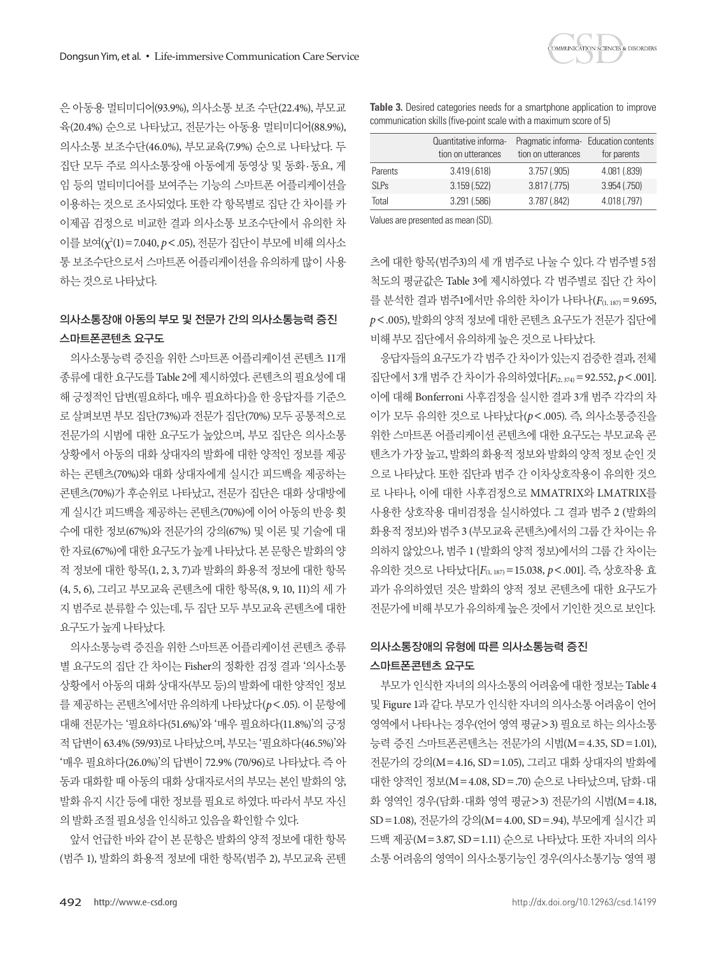은 아동용 멀티미디어(93.9%), 의사소통 보조 수단(22.4%), 부모교 육(20.4%) 순으로 나타났고, 전문가는 아동용 멀티미디어(88.9%), 의사소통 보조수단(46.0%), 부모교육(7.9%) 순으로 나타났다. 두 집단 모두 주로 의사소통장애 아동에게 동영상 및 동화·동요, 게 임 등의 멀티미디어를 보여주는 기능의 스마트폰 어플리케이션을 이용하는 것으로 조사되었다. 또한 각 항목별로 집단 간 차이를 카 이제곱 검정으로 비교한 결과 의사소통 보조수단에서 유의한 차 이를 보여(χ2 (1)=7.040, *p*<.05), 전문가 집단이 부모에 비해 의사소 통 보조수단으로서 스마트폰 어플리케이션을 유의하게 많이 사용 하는것으로나타났다.

# 의사소통장애 아동의 부모 및 전문가 간의 의사소통능력 증진 스마트폰콘텐츠 요구도

의사소통능력 증진을 위한 스마트폰 어플리케이션 콘텐츠 11개 종류에 대한 요구도를 Table 2에 제시하였다. 콘텐츠의 필요성에 대 해 긍정적인 답변(필요하다, 매우 필요하다)을 한 응답자를 기준으 로 살펴보면 부모 집단(73%)과 전문가 집단(70%) 모두 공통적으로 전문가의 시범에 대한 요구도가 높았으며, 부모 집단은 의사소통 상황에서 아동의 대화 상대자의 발화에 대한 양적인 정보를 제공 하는 콘텐츠(70%)와 대화 상대자에게 실시간 피드백을 제공하는 콘텐츠(70%)가 후순위로 나타났고, 전문가 집단은 대화 상대방에 게 실시간 피드백을 제공하는 콘텐츠(70%)에 이어 아동의 반응 횟 수에 대한 정보(67%)와 전문가의 강의(67%) 및 이론 및 기술에 대 한 자료(67%)에 대한 요구도가 높게 나타났다. 본 문항은 발화의 양 적 정보에 대한 항목(1, 2, 3, 7)과 발화의 화용적 정보에 대한 항목 (4, 5, 6), 그리고 부모교육 콘텐츠에 대한 항목(8, 9, 10, 11)의 세 가 지 범주로 분류할 수 있는데, 두 집단 모두 부모교육 콘텐츠에 대한 요구도가높게나타났다.

의사소통능력 증진을 위한 스마트폰 어플리케이션 콘텐츠 종류 별 요구도의 집단 간 차이는 Fisher의 정확한 검정 결과 '의사소통 상황에서 아동의 대화 상대자(부모 등)의 발화에 대한 양적인 정보 를 제공하는 콘텐츠'에서만 유의하게 나타났다(*p*<.05). 이 문항에 대해 전문가는 '필요하다(51.6%)'와 '매우 필요하다(11.8%)'의 긍정 적 답변이 63.4% (59/93)로 나타났으며, 부모는 '필요하다(46.5%)'와 '매우 필요하다(26.0%)'의 답변이 72.9% (70/96)로 나타났다. 즉 아 동과 대화할 때 아동의 대화 상대자로서의 부모는 본인 발화의 양, 발화 유지 시간 등에 대한 정보를 필요로 하였다. 따라서 부모 자신 의발화조절필요성을인식하고있음을확인할수있다.

앞서 언급한 바와 같이 본 문항은 발화의 양적 정보에 대한 항목 (범주 1), 발화의 화용적 정보에 대한 항목(범주 2), 부모교육 콘텐

**Table 3.** Desired categories needs for a smartphone application to improve communication skills (five-point scale with a maximum score of 5)

|             | Quantitative informa-<br>tion on utterances | tion on utterances | Pragmatic informa- Education contents<br>for parents |
|-------------|---------------------------------------------|--------------------|------------------------------------------------------|
| Parents     | 3.419(.618)                                 | 3.757(.905)        | 4.081 (.839)                                         |
| <b>SLPs</b> | 3.159(.522)                                 | 3.817(0.775)       | 3.954 (.750)                                         |
| Total       | 3.291(.586)                                 | 3.787 (.842)       | 4.018 (.797)                                         |
|             |                                             |                    |                                                      |

Values are presented as mean (SD).

츠에 대한 항목(범주3)의 세 개 범주로 나눌 수 있다. 각 범주별 5점 척도의 평균값은 Table 3에 제시하였다. 각 범주별로 집단 간 차이 를 분석한 결과 범주1에서만 유의한 차이가 나타나(F(1, 187) = 9.695, *p*<.005), 발화의 양적 정보에 대한 콘텐츠 요구도가 전문가 집단에 비해부모집단에서유의하게높은것으로나타났다.

응답자들의요구도가각범주간차이가있는지검증한결과, 전체 집단에서 3개 범주 간 차이가 유의하였다[*F*(2, 374)=92.552, *p*<.001]. 이에 대해 Bonferroni 사후검정을 실시한 결과 3개 범주 각각의 차 이가 모두 유의한 것으로 나타났다(*p*<.005). 즉, 의사소통증진을 위한 스마트폰 어플리케이션 콘텐츠에 대한 요구도는 부모교육 콘 텐츠가 가장 높고, 발화의 화용적 정보와 발화의 양적 정보 순인 것 으로 나타났다. 또한 집단과 범주 간 이차상호작용이 유의한 것으 로 나타나, 이에 대한 사후검정으로 MMATRIX와 LMATRIX를 사용한 상호작용 대비검정을 실시하였다. 그 결과 범주 2 (발화의 화용적 정보)와 범주 3 (부모교육 콘텐츠)에서의 그룹 간 차이는 유 의하지 않았으나, 범주 1 (발화의 양적 정보)에서의 그룹 간 차이는 유의한 것으로 나타났다[*F*(1, 187)=15.038, *p*<.001]. 즉, 상호작용 효 과가 유의하였던 것은 발화의 양적 정보 콘텐츠에 대한 요구도가 전문가에비해부모가유의하게높은것에서기인한것으로보인다.

# 의사소통장애의 유형에 따른 의사소통능력 증진 스마트폰콘텐츠 요구도

부모가 인식한 자녀의 의사소통의 어려움에 대한 정보는 Table 4 및 Figure 1과 같다. 부모가 인식한 자녀의 의사소통 어려움이 언어 영역에서 나타나는 경우(언어 영역 평균>3) 필요로 하는 의사소통 능력 증진 스마트폰콘텐츠는 전문가의 시범(M=4.35, SD=1.01), 전문가의 강의(M=4.16, SD=1.05), 그리고 대화 상대자의 발화에 대한 양적인 정보(M=4.08, SD=.70) 순으로 나타났으며, 담화·대 화 영역인 경우(담화·대화 영역 평균>3) 전문가의 시범(M=4.18, SD=1.08), 전문가의 강의(M=4.00, SD=.94), 부모에게 실시간 피 드백 제공(M=3.87, SD=1.11) 순으로 나타났다. 또한 자녀의 의사 소통 어려움의 영역이 의사소통기능인 경우(의사소통기능 영역 평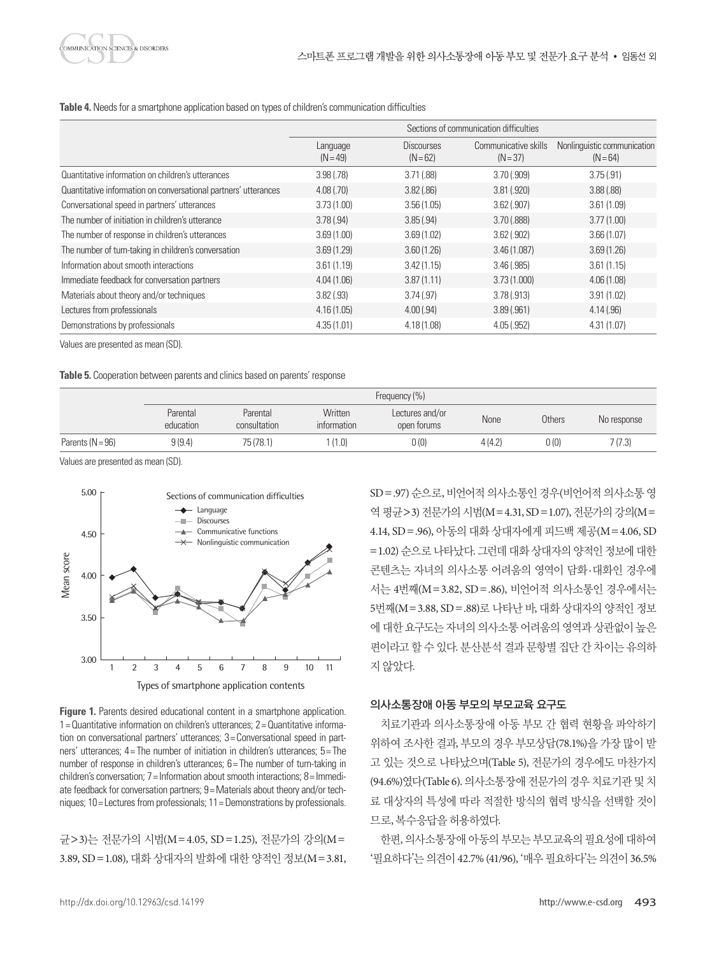**Table 4.** Needs for a smartphone application based on types of children's communication difficulties

|                                                                 | Sections of communication difficulties |                                 |                                    |                                           |  |  |
|-----------------------------------------------------------------|----------------------------------------|---------------------------------|------------------------------------|-------------------------------------------|--|--|
|                                                                 | Language<br>$(N = 49)$                 | <b>Discourses</b><br>$(N = 62)$ | Communicative skills<br>$(N = 37)$ | Nonlinguistic communication<br>$(N = 64)$ |  |  |
| Quantitative information on children's utterances               | 3.98(0.78)                             | 3.71(.88)                       | 3.70(.909)                         | 3.75(.91)                                 |  |  |
| Quantitative information on conversational partners' utterances | 4.08(.70)                              | 3.82(.86)                       | 3.81(.920)                         | 3.88(.88)                                 |  |  |
| Conversational speed in partners' utterances                    | 3.73(1.00)                             | 3.56(1.05)                      | $3.62$ (.907)                      | 3.61(1.09)                                |  |  |
| The number of initiation in children's utterance                | 3.78(.94)                              | 3.85(.94)                       | 3.70(.888)                         | 3.77(1.00)                                |  |  |
| The number of response in children's utterances                 | 3.69(1.00)                             | 3.69(1.02)                      | $3.62$ $(.902)$                    | 3.66(1.07)                                |  |  |
| The number of turn-taking in children's conversation            | 3.69(1.29)                             | 3.60(1.26)                      | 3.46(1.087)                        | 3.69(1.26)                                |  |  |
| Information about smooth interactions                           | 3.61(1.19)                             | 3.42(1.15)                      | 3.46(.985)                         | 3.61(1.15)                                |  |  |
| Immediate feedback for conversation partners                    | 4.04(1.06)                             | 3.87(1.11)                      | 3.73(1.000)                        | 4.06(1.08)                                |  |  |
| Materials about theory and/or techniques                        | 3.82(.93)                              | 3.74(0.97)                      | 3.78(.913)                         | 3.91(1.02)                                |  |  |
| Lectures from professionals                                     | 4.16(1.05)                             | 4.00(.94)                       | 3.89(.961)                         | 4.14(.96)                                 |  |  |
| Demonstrations by professionals                                 | 4.35(1.01)                             | 4.18(1.08)                      | 4.05(.952)                         | 4.31(1.07)                                |  |  |

Values are presented as mean (SD).

**Table 5.** Cooperation between parents and clinics based on parents' response

|                    | Frequency (%)         |                          |                               |                                |        |               |             |
|--------------------|-----------------------|--------------------------|-------------------------------|--------------------------------|--------|---------------|-------------|
|                    | Parental<br>education | Parental<br>consultation | Written<br><i>information</i> | Lectures and/or<br>open forums | None   | <b>Others</b> | No response |
| Parents $(N = 96)$ | 9(9.4)                | 75 (78.1)                | (1.0)                         | 0(0)                           | 4(4.2) | 0(0)          | 7(7.3)      |

Values are presented as mean (SD).



**Figure 1.** Parents desired educational content in a smartphone application. 1= Quantitative information on children's utterances; 2= Quantitative information on conversational partners' utterances; 3= Conversational speed in partners' utterances; 4= The number of initiation in children's utterances; 5= The number of response in children's utterances; 6 = The number of turn-taking in children's conversation; 7= Information about smooth interactions; 8= Immediate feedback for conversation partners; 9= Materials about theory and/or techniques; 10= Lectures from professionals; 11= Demonstrations by professionals.

균>3)는 전문가의 시범(M=4.05, SD=1.25), 전문가의 강의(M= 3.89, SD=1.08), 대화 상대자의 발화에 대한 양적인 정보(M=3.81, SD = .97) 순으로, 비언어적 의사소통인 경우(비언어적 의사소통영 역 평규>3) 전문가의 시범(M=4.31, SD=1.07), 전문가의 강의(M= 4.14, SD=.96), 아동의 대화 상대자에게 피드백 제공(M=4.06, SD =1.02) 순으로 나타났다. 그런데 대화 상대자의 양적인 정보에 대한 콘텐츠는 자녀의 의사소통 어려움의 영역이 담화·대화인 경우에 서는 4번째(M=3.82, SD=.86), 비언어적 의사소통인 경우에서는 5번째(M=3.88, SD=.88)로 나타난 바, 대화 상대자의 양적인 정보 에 대한 요구도는 자녀의 의사소통 어려움의 영역과 상관없이 높은 편이라고 할 수 있다. 분산분석 결과 문항별 집단 간 차이는 유의하 지않았다.

## 의사소통장애 아동 부모의 부모교육 요구도

치료기관과 의사소통장애 아동 부모 간 협력 현황을 파악하기 위하여 조사한 결과, 부모의 경우 부모상담(78.1%)을 가장 많이 받 고 있는 것으로 나타났으며(Table 5), 전문가의 경우에도 마찬가지 (94.6%)였다(Table 6). 의사소통장애 전문가의 경우 치료기관 및 치 료 대상자의 특성에 따라 적절한 방식의 협력 방식을 선택할 것이 므로, 복수응답을허용하였다.

한편, 의사소통장애 아동의 부모는 부모교육의 필요성에 대하여 '필요하다'는 의견이 42.7% (41/96), '매우 필요하다'는 의견이 36.5%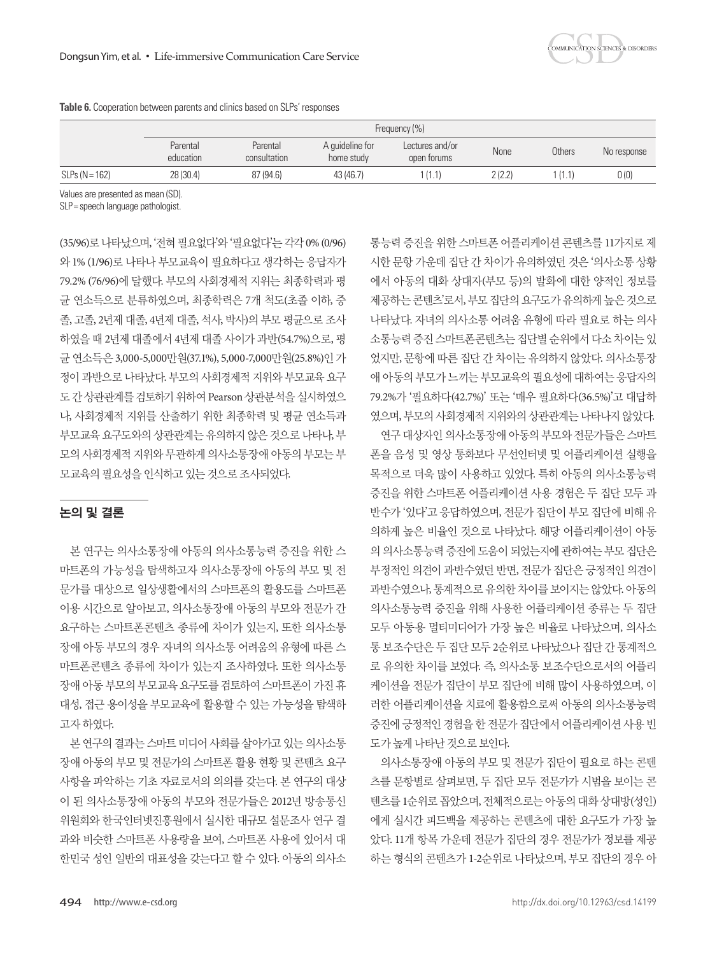|                  | Frequency (%)         |                          |                               |                                |        |        |             |
|------------------|-----------------------|--------------------------|-------------------------------|--------------------------------|--------|--------|-------------|
|                  | Parental<br>education | Parental<br>consultation | A quideline for<br>home study | Lectures and/or<br>open forums | None   | Others | No response |
| $SLPs (N = 162)$ | 28 (30.4)             | 87 (94.6)                | 43 (46.7)                     | (1.1)                          | 2(2.2) | (1.1)  | 0 (0)       |

**Table 6.** Cooperation between parents and clinics based on SLPs' responses

Values are presented as mean (SD).

SLP= speech language pathologist.

(35/96)로나타났으며, '전혀필요없다'와'필요없다'는각각 0% (0/96) 와 1% (1/96)로 나타나 부모교육이 필요하다고 생각하는 응답자가 79.2% (76/96)에 달했다. 부모의 사회경제적 지위는 최종학력과 평 균 연소득으로 분류하였으며, 최종학력은 7개 척도(초졸 이하, 중 졸, 고졸, 2년제 대졸, 4년제 대졸, 석사, 박사)의 부모 평균으로 조사 하였을 때 2년제 대졸에서 4년제 대졸 사이가 과반(54.7%)으로, 평 균 연소득은 3,000-5,000만원(37.1%), 5,000-7,000만원(25.8%)인 가 정이 과반으로 나타났다. 부모의 사회경제적 지위와 부모교육 요구 도간상관관계를검토하기위하여 Pearson 상관분석을실시하였으 나, 사회경제적 지위를 산출하기 위한 최종학력 및 평균 연소득과 부모교육 요구도와의 상관관계는 유의하지 않은 것으로 나타나, 부 모의 사회경제적 지위와 무관하게 의사소통장애 아동의 부모는 부 모교육의 필요성을 인식하고 있는 것으로 조사되었다.

# 논의 및 결론

본 연구는 의사소통장애 아동의 의사소통능력 증진을 위한 스 마트폰의 가능성을 탐색하고자 의사소통장애 아동의 부모 및 전 문가를 대상으로 일상생활에서의 스마트폰의 활용도를 스마트폰 이용 시간으로 알아보고, 의사소통장애 아동의 부모와 전문가 간 요구하는 스마트폰콘텐츠 종류에 차이가 있는지, 또한 의사소통 장애 아동 부모의 경우 자녀의 의사소통 어려움의 유형에 따른 스 마트폰콘텐츠 종류에 차이가 있는지 조사하였다. 또한 의사소통 장애아동부모의부모교육요구도를검토하여스마트폰이가진휴 대성, 접근 용이성을 부모교육에 활용할 수 있는 가능성을 탐색하 고자하였다.

본 연구의 결과는 스마트 미디어 사회를 살아가고 있는 의사소통 장애 아동의 부모 및 전문가의 스마트폰 활용 현황 및 콘텐츠 요구 사항을 파악하는 기초 자료로서의 의의를 갖는다. 본 연구의 대상 이 된 의사소통장애 아동의 부모와 전문가들은 2012년 방송통신 위원회와 한국인터넷진흥원에서 실시한 대규모 설문조사 연구 결 과와 비슷한 스마트폰 사용량을 보여, 스마트폰 사용에 있어서 대 한민국 성인 일반의 대표성을 갖는다고 할 수 있다. 아동의 의사소 통능력 증진을 위한 스마트폰 어플리케이션 콘텐츠를 11가지로 제 시한 문항 가운데 집단 간 차이가 유의하였던 것은 '의사소통 상황 에서 아동의 대화 상대자(부모 등)의 발화에 대한 양적인 정보를 제공하는 콘텐츠'로서, 부모 집단의 요구도가 유의하게 높은 것으로 나타났다. 자녀의 의사소통 어려움 유형에 따라 필요로 하는 의사 소통능력 증진 스마트폰콘텐츠는 집단별 순위에서 다소 차이는 있 었지만, 문항에 따른 집단 간 차이는 유의하지 않았다. 의사소통장 애 아동의 부모가 느끼는 부모교육의 필요성에 대하여는 응답자의 79.2%가 '필요하다(42.7%)' 또는 '매우 필요하다(36.5%)'고 대답하 였으며, 부모의사회경제적지위와의상관관계는나타나지않았다.

연구 대상자인 의사소통장애 아동의 부모와 전문가들은 스마트 폰을 음성 및 영상 통화보다 무선인터넷 및 어플리케이션 실행을 목적으로 더욱 많이 사용하고 있었다. 특히 아동의 의사소통능력 증진을 위한 스마트폰 어플리케이션 사용 경험은 두 집단 모두 과 반수가 '있다'고 응답하였으며, 전문가 집단이 부모 집단에 비해 유 의하게 높은 비율인 것으로 나타났다. 해당 어플리케이션이 아동 의 의사소통능력 증진에 도움이 되었는지에 관하여는 부모 집단은 부정적인 의견이 과반수였던 반면, 전문가 집단은 긍정적인 의견이 과반수였으나, 통계적으로 유의한 차이를 보이지는 않았다. 아동의 의사소통능력 증진을 위해 사용한 어플리케이션 종류는 두 집단 모두 아동용 멀티미디어가 가장 높은 비율로 나타났으며, 의사소 통 보조수단은 두 집단 모두 2순위로 나타났으나 집단 간 통계적으 로 유의한 차이를 보였다. 즉, 의사소통 보조수단으로서의 어플리 케이션을 전문가 집단이 부모 집단에 비해 많이 사용하였으며, 이 러한 어플리케이션을 치료에 활용함으로써 아동의 의사소통능력 증진에 긍정적인 경험을 한 전문가 집단에서 어플리케이션 사용 빈 도가높게나타난것으로보인다.

의사소통장애 아동의 부모 및 전문가 집단이 필요로 하는 콘텐 츠를 문항별로 살펴보면, 두 집단 모두 전문가가 시범을 보이는 콘 텐츠를 1순위로 꼽았으며, 전체적으로는 아동의 대화 상대방(성인) 에게 실시간 피드백을 제공하는 콘텐츠에 대한 요구도가 가장 높 았다. 11개 항목 가운데 전문가 집단의 경우 전문가가 정보를 제공 하는 형식의 콘텐츠가 1-2순위로 나타났으며, 부모 집단의 경우 아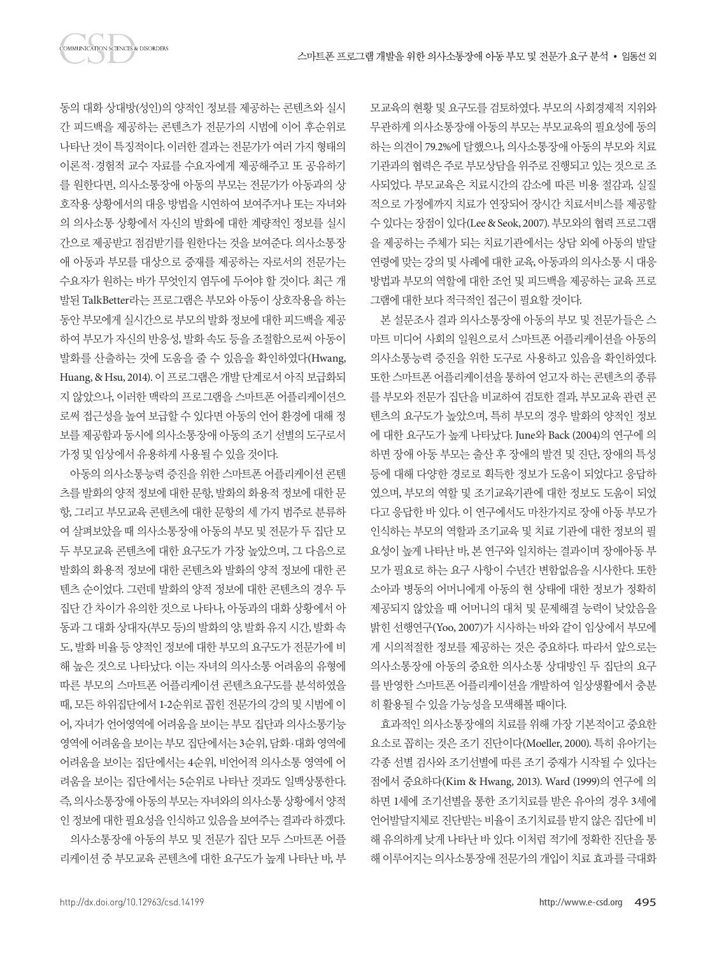동의 대화 상대방(성인)의 양적인 정보를 제공하는 콘텐츠와 실시 간 피드백을 제공하는 콘텐츠가 전문가의 시범에 이어 후순위로 나타난 것이 특징적이다. 이러한 결과는 전문가가 여러 가지 형태의 이론적·경험적 교수 자료를 수요자에게 제공해주고 또 공유하기 를 원한다면, 의사소통장애 아동의 부모는 전문가가 아동과의 상 호작용 상황에서의 대응 방법을 시연하여 보여주거나 또는 자녀와 의 의사소통 상황에서 자신의 발화에 대한 계량적인 정보를 실시 간으로 제공받고 점검받기를 원한다는 것을 보여준다. 의사소통장 애 아동과 부모를 대상으로 중재를 제공하는 자로서의 전문가는 수요자가 원하는 바가 무엇인지 염두에 두어야 할 것이다. 최근 개 발된 TalkBetter라는 프로그램은 부모와 아동이 상호작용을 하는 동안 부모에게 실시간으로 부모의 발화 정보에 대한 피드백을 제공 하여 부모가 자신의 반응성, 발화 속도 등을 조절함으로써 아동이 발화를 산출하는 것에 도움을 줄 수 있음을 확인하였다(Hwang, Huang, & Hsu, 2014). 이 프로그램은 개발 단계로서 아직 보급화되 지 않았으나, 이러한 맥락의 프로그램을 스마트폰 어플리케이션으 로써 접근성을 높여 보급할 수 있다면 아동의 언어 환경에 대해 정 보를 제공함과 동시에 의사소통장애 아동의 조기 선별의 도구로서 가정및임상에서유용하게사용될수있을것이다.

아동의 의사소통능력 증진을 위한 스마트폰 어플리케이션 콘텐 츠를 발화의 양적 정보에 대한 문항, 발화의 화용적 정보에 대한 문 항, 그리고 부모교육 콘텐츠에 대한 문항의 세 가지 범주로 분류하 여 살펴보았을 때 의사소통장애 아동의 부모 및 전문가 두 집단 모 두 부모교육 콘텐츠에 대한 요구도가 가장 높았으며, 그 다음으로 발화의 화용적 정보에 대한 콘텐츠와 발화의 양적 정보에 대한 콘 텐츠 순이었다. 그런데 발화의 양적 정보에 대한 콘텐츠의 경우 두 집단 간 차이가 유의한 것으로 나타나, 아동과의 대화 상황에서 아 동과 그 대화 상대자(부모 등)의 발화의 양, 발화 유지 시간, 발화 속 도, 발화 비율 등 양적인 정보에 대한 부모의 요구도가 전문가에 비 해 높은 것으로 나타났다. 이는 자녀의 의사소통 어려움의 유형에 따른 부모의 스마트폰 어플리케이션 콘텐츠요구도를 분석하였을 때, 모든 하위집단에서 1-2순위로 꼽힌 전문가의 강의 및 시범에 이 어, 자녀가 언어영역에 어려움을 보이는 부모 집단과 의사소통기능 영역에 어려움을 보이는 부모 집단에서는 3순위, 담화·대화 영역에 어려움을 보이는 집단에서는 4순위, 비언어적 의사소통 영역에 어 려움을 보이는 집단에서는 5순위로 나타난 것과도 일맥상통한다. 즉, 의사소통장애 아동의 부모는 자녀와의 의사소통 상황에서 양적 인정보에대한필요성을인식하고있음을보여주는결과라하겠다. 의사소통장애 아동의 부모 및 전문가 집단 모두 스마트폰 어플 리케이션 중 부모교육 콘텐츠에 대한 요구도가 높게 나타난 바, 부

모교육의 현황 및 요구도를 검토하였다. 부모의 사회경제적 지위와 무관하게 의사소통장애 아동의 부모는 부모교육의 필요성에 동의 하는 의견이 79.2%에 달했으나, 의사소통장애 아동의 부모와 치료 기관과의 협력은 주로 부모상담을 위주로 진행되고 있는 것으로 조 사되었다. 부모교육은 치료시간의 감소에 따른 비용 절감과, 실질 적으로 가정에까지 치료가 연장되어 장시간 치료서비스를 제공할 수 있다는 장점이 있다(Lee & Seok, 2007). 부모와의 협력 프로그램 을 제공하는 주체가 되는 치료기관에서는 상담 외에 아동의 발달 연령에 맞는 강의 및 사례에 대한 교육, 아동과의 의사소통 시 대응 방법과 부모의 역할에 대한 조언 및 피드백을 제공하는 교육 프로 그램에 대한 보다 적극적인 접근이 필요할 것이다.

본 설문조사 결과 의사소통장애 아동의 부모 및 전문가들은 스 마트 미디어 사회의 일원으로서 스마트폰 어플리케이션을 아동의 의사소통능력 증진을 위한 도구로 사용하고 있음을 확인하였다. 또한 스마트폰 어플리케이션을 통하여 얻고자 하는 콘텐츠의 종류 를 부모와 전문가 집단을 비교하여 검토한 결과, 부모교육 관련 콘 텐츠의 요구도가 높았으며, 특히 부모의 경우 발화의 양적인 정보 에 대한 요구도가 높게 나타났다. June와 Back (2004)의 연구에 의 하면 장애 아동 부모는 출산 후 장애의 발견 및 진단, 장애의 특성 등에 대해 다양한 경로로 획득한 정보가 도움이 되었다고 응답하 였으며, 부모의 역할 및 조기교육기관에 대한 정보도 도움이 되었 다고 응답한 바 있다. 이 연구에서도 마찬가지로 장애 아동 부모가 인식하는 부모의 역할과 조기교육 및 치료 기관에 대한 정보의 필 요성이 높게 나타난 바, 본 연구와 일치하는 결과이며 장애아동 부 모가 필요로 하는 요구 사항이 수년간 변함없음을 시사한다. 또한 소아과 병동의 어머니에게 아동의 현 상태에 대한 정보가 정확히 제공되지 않았을 때 어머니의 대처 및 문제해결 능력이 낮았음을 밝힌 선행연구(Yoo, 2007)가 시사하는 바와 같이 임상에서 부모에 게 시의적절한 정보를 제공하는 것은 중요하다. 따라서 앞으로는 의사소통장애 아동의 중요한 의사소통 상대방인 두 집단의 요구 를 반영한 스마트폰 어플리케이션을 개발하여 일상생활에서 충분 히활용될수있을가능성을모색해볼때이다.

효과적인 의사소통장애의 치료를 위해 가장 기본적이고 중요한 요소로 꼽히는 것은 조기 진단이다(Moeller, 2000). 특히 유아기는 각종 선별 검사와 조기선별에 따른 조기 중재가 시작될 수 있다는 점에서 중요하다(Kim & Hwang, 2013). Ward (1999)의 연구에 의 하면 1세에 조기선별을 통한 조기치료를 받은 유아의 경우 3세에 언어발달지체로 진단받는 비율이 조기치료를 받지 않은 집단에 비 해 유의하게 낮게 나타난 바 있다. 이처럼 적기에 정확한 진단을 통 해 이루어지는 의사소통장애 전문가의 개입이 치료 효과를 극대화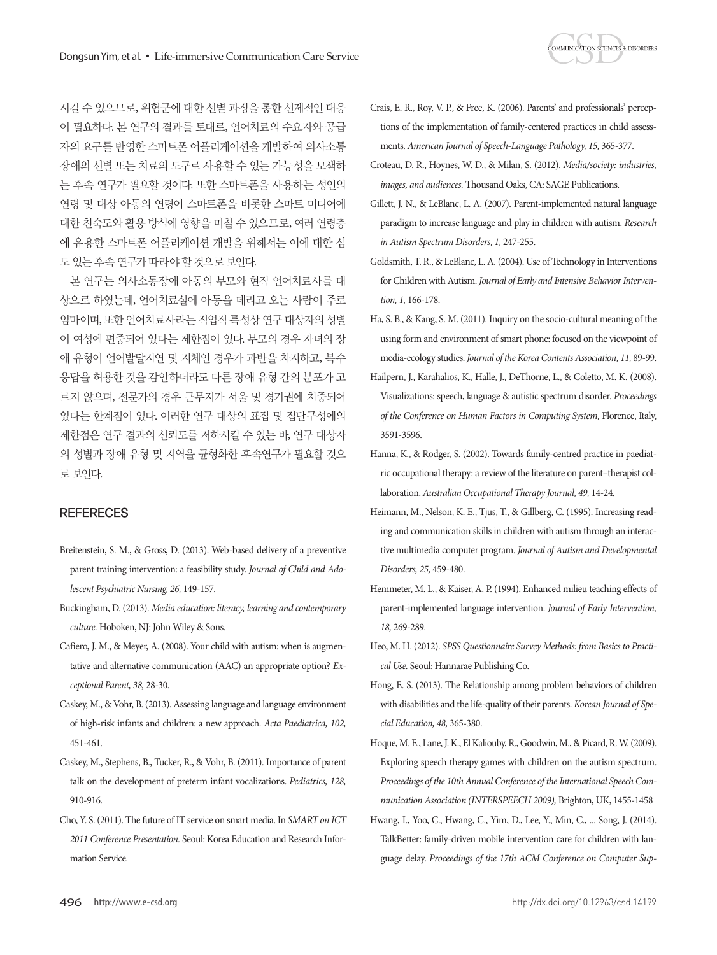

시킬 수 있으므로, 위험군에 대한 선별 과정을 통한 선제적인 대응 이 필요하다. 본 연구의 결과를 토대로, 언어치료의 수요자와 공급 자의 요구를 반영한 스마트폰 어플리케이션을 개발하여 의사소통 장애의 선별 또는 치료의 도구로 사용할 수 있는 가능성을 모색하 는 후속 연구가 필요할 것이다. 또한 스마트폰을 사용하는 성인의 연령 및 대상 아동의 연령이 스마트폰을 비롯한 스마트 미디어에 대한 친숙도와 활용 방식에 영향을 미칠 수 있으므로, 여러 연령층 에 유용한 스마트폰 어플리케이션 개발을 위해서는 이에 대한 심 도있는후속연구가따라야할것으로보인다.

본 연구는 의사소통장애 아동의 부모와 현직 언어치료사를 대 상으로 하였는데, 언어치료실에 아동을 데리고 오는 사람이 주로 엄마이며, 또한 언어치료사라는 직업적 특성상 연구 대상자의 성별 이 여성에 편중되어 있다는 제한점이 있다. 부모의 경우 자녀의 장 애 유형이 언어발달지연 및 지체인 경우가 과반을 차지하고, 복수 응답을 허용한 것을 감안하더라도 다른 장애 유형 간의 분포가 고 르지 않으며, 전문가의 경우 근무지가 서울 및 경기권에 치중되어 있다는 한계점이 있다. 이러한 연구 대상의 표집 및 집단구성에의 제한점은 연구 결과의 신뢰도를 저하시킬 수 있는 바, 연구 대상자 의 성별과 장애 유형 및 지역을 균형화한 후속연구가 필요할 것으 로보인다.

### **REFERECES**

- Breitenstein, S. M., & Gross, D. (2013). Web‐based delivery of a preventive parent training intervention: a feasibility study. *Journal of Child and Adolescent Psychiatric Nursing, 26,* 149-157.
- Buckingham, D. (2013). *Media education: literacy, learning and contemporary culture.* Hoboken, NJ: John Wiley & Sons.
- Cafiero, J. M., & Meyer, A. (2008). Your child with autism: when is augmentative and alternative communication (AAC) an appropriate option? *Exceptional Parent, 38,* 28-30.
- Caskey, M., & Vohr, B. (2013). Assessing language and language environment of high‐risk infants and children: a new approach. *Acta Paediatrica, 102,*  451-461.
- Caskey, M., Stephens, B., Tucker, R., & Vohr, B. (2011). Importance of parent talk on the development of preterm infant vocalizations. *Pediatrics, 128,* 910-916.
- Cho, Y. S. (2011). The future of IT service on smart media. In *SMART on ICT 2011 Conference Presentation.* Seoul: Korea Education and Research Information Service.
- Crais, E. R., Roy, V. P., & Free, K. (2006). Parents' and professionals' perceptions of the implementation of family-centered practices in child assessments. *American Journal of Speech-Language Pathology, 15,* 365-377.
- Croteau, D. R., Hoynes, W. D., & Milan, S. (2012). *Media/society: industries, images, and audiences.* Thousand Oaks, CA: SAGE Publications.
- Gillett, J. N., & LeBlanc, L. A. (2007). Parent-implemented natural language paradigm to increase language and play in children with autism. *Research in Autism Spectrum Disorders, 1,* 247-255.
- Goldsmith, T. R., & LeBlanc, L. A. (2004). Use of Technology in Interventions for Children with Autism. *Journal of Early and Intensive Behavior Intervention, 1,* 166-178.
- Ha, S. B., & Kang, S. M. (2011). Inquiry on the socio-cultural meaning of the using form and environment of smart phone: focused on the viewpoint of media-ecology studies. *Journal of the Korea Contents Association, 11,* 89-99.
- Hailpern, J., Karahalios, K., Halle, J., DeThorne, L., & Coletto, M. K. (2008). Visualizations: speech, language & autistic spectrum disorder. *Proceedings of the Conference on Human Factors in Computing System,* Florence, Italy, 3591-3596.
- Hanna, K., & Rodger, S. (2002). Towards family‐centred practice in paediatric occupational therapy: a review of the literature on parent–therapist collaboration. *Australian Occupational Therapy Journal, 49,* 14-24.
- Heimann, M., Nelson, K. E., Tjus, T., & Gillberg, C. (1995). Increasing reading and communication skills in children with autism through an interactive multimedia computer program. *Journal of Autism and Developmental Disorders, 25,* 459-480.
- Hemmeter, M. L., & Kaiser, A. P. (1994). Enhanced milieu teaching effects of parent-implemented language intervention. *Journal of Early Intervention, 18,* 269-289.
- Heo, M. H. (2012). *SPSS Questionnaire Survey Methods: from Basics to Practical Use.* Seoul: Hannarae Publishing Co.
- Hong, E. S. (2013). The Relationship among problem behaviors of children with disabilities and the life-quality of their parents. *Korean Journal of Special Education, 48,* 365-380.
- Hoque, M. E., Lane, J. K., El Kaliouby, R., Goodwin, M., & Picard, R. W. (2009). Exploring speech therapy games with children on the autism spectrum. *Proceedings of the 10th Annual Conference of the International Speech Communication Association (INTERSPEECH 2009),* Brighton, UK, 1455-1458
- Hwang, I., Yoo, C., Hwang, C., Yim, D., Lee, Y., Min, C., ... Song, J. (2014). TalkBetter: family-driven mobile intervention care for children with language delay. *Proceedings of the 17th ACM Conference on Computer Sup-*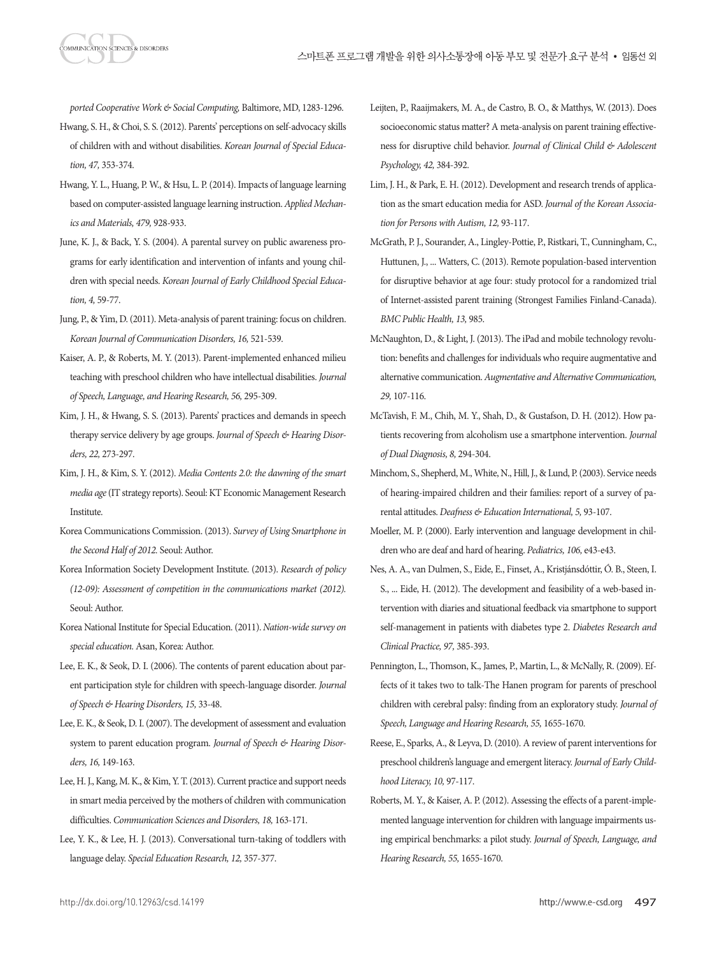*ported Cooperative Work & Social Computing,* Baltimore, MD, 1283-1296.

- Hwang, S. H., & Choi, S. S. (2012). Parents' perceptions on self-advocacy skills of children with and without disabilities. *Korean Journal of Special Education, 47,* 353-374.
- Hwang, Y. L., Huang, P. W., & Hsu, L. P. (2014). Impacts of language learning based on computer-assisted language learning instruction. *Applied Mechanics and Materials, 479,* 928-933.
- June, K. J., & Back, Y. S. (2004). A parental survey on public awareness programs for early identification and intervention of infants and young children with special needs. *Korean Journal of Early Childhood Special Education, 4,* 59-77.
- Jung, P., & Yim, D. (2011). Meta-analysis of parent training: focus on children. *Korean Journal of Communication Disorders, 16,* 521-539.
- Kaiser, A. P., & Roberts, M. Y. (2013). Parent-implemented enhanced milieu teaching with preschool children who have intellectual disabilities. *Journal of Speech, Language, and Hearing Research, 56,* 295-309.
- Kim, J. H., & Hwang, S. S. (2013). Parents' practices and demands in speech therapy service delivery by age groups. *Journal of Speech & Hearing Disorders, 22,* 273-297.
- Kim, J. H., & Kim, S. Y. (2012). *Media Contents 2.0: the dawning of the smart media age* (IT strategy reports). Seoul: KT Economic Management Research Institute.
- Korea Communications Commission. (2013). *Survey of Using Smartphone in the Second Half of 2012.* Seoul: Author.
- Korea Information Society Development Institute. (2013). *Research of policy (12-09): Assessment of competition in the communications market (2012).* Seoul: Author.
- Korea National Institute for Special Education. (2011). *Nation-wide survey on special education.* Asan, Korea: Author.
- Lee, E. K., & Seok, D. I. (2006). The contents of parent education about parent participation style for children with speech-language disorder. *Journal of Speech & Hearing Disorders, 15,* 33-48.
- Lee, E. K., & Seok, D. I. (2007). The development of assessment and evaluation system to parent education program. *Journal of Speech & Hearing Disorders, 16,* 149-163.
- Lee, H. J., Kang, M. K., & Kim, Y. T. (2013). Current practice and support needs in smart media perceived by the mothers of children with communication difficulties. *Communication Sciences and Disorders, 18,* 163-171.
- Lee, Y. K., & Lee, H. J. (2013). Conversational turn-taking of toddlers with language delay. *Special Education Research, 12,* 357-377.
- Leijten, P., Raaijmakers, M. A., de Castro, B. O., & Matthys, W. (2013). Does socioeconomic status matter? A meta-analysis on parent training effectiveness for disruptive child behavior. *Journal of Clinical Child & Adolescent Psychology, 42,* 384-392.
- Lim, J. H., & Park, E. H. (2012). Development and research trends of application as the smart education media for ASD. *Journal of the Korean Association for Persons with Autism, 12,* 93-117.
- McGrath, P. J., Sourander, A., Lingley-Pottie, P., Ristkari, T., Cunningham, C., Huttunen, J., ... Watters, C. (2013). Remote population-based intervention for disruptive behavior at age four: study protocol for a randomized trial of Internet-assisted parent training (Strongest Families Finland-Canada). *BMC Public Health, 13,* 985.
- McNaughton, D., & Light, J. (2013). The iPad and mobile technology revolution: benefits and challenges for individuals who require augmentative and alternative communication. *Augmentative and Alternative Communication, 29,* 107-116.
- McTavish, F. M., Chih, M. Y., Shah, D., & Gustafson, D. H. (2012). How patients recovering from alcoholism use a smartphone intervention. *Journal of Dual Diagnosis, 8,* 294-304.
- Minchom, S., Shepherd, M., White, N., Hill, J., & Lund, P. (2003). Service needs of hearing‐impaired children and their families: report of a survey of parental attitudes. *Deafness & Education International, 5,* 93-107.
- Moeller, M. P. (2000). Early intervention and language development in children who are deaf and hard of hearing. *Pediatrics, 106,* e43-e43.
- Nes, A. A., van Dulmen, S., Eide, E., Finset, A., Kristjánsdóttir, Ó. B., Steen, I. S., ... Eide, H. (2012). The development and feasibility of a web-based intervention with diaries and situational feedback via smartphone to support self-management in patients with diabetes type 2. *Diabetes Research and Clinical Practice, 97,* 385-393.
- Pennington, L., Thomson, K., James, P., Martin, L., & McNally, R. (2009). Effects of it takes two to talk-The Hanen program for parents of preschool children with cerebral palsy: finding from an exploratory study. *Journal of Speech, Language and Hearing Research, 55,* 1655-1670.
- Reese, E., Sparks, A., & Leyva, D. (2010). A review of parent interventions for preschool children's language and emergent literacy. *Journal of Early Childhood Literacy, 10,* 97-117.
- Roberts, M. Y., & Kaiser, A. P. (2012). Assessing the effects of a parent-implemented language intervention for children with language impairments using empirical benchmarks: a pilot study. *Journal of Speech, Language, and Hearing Research, 55,* 1655-1670.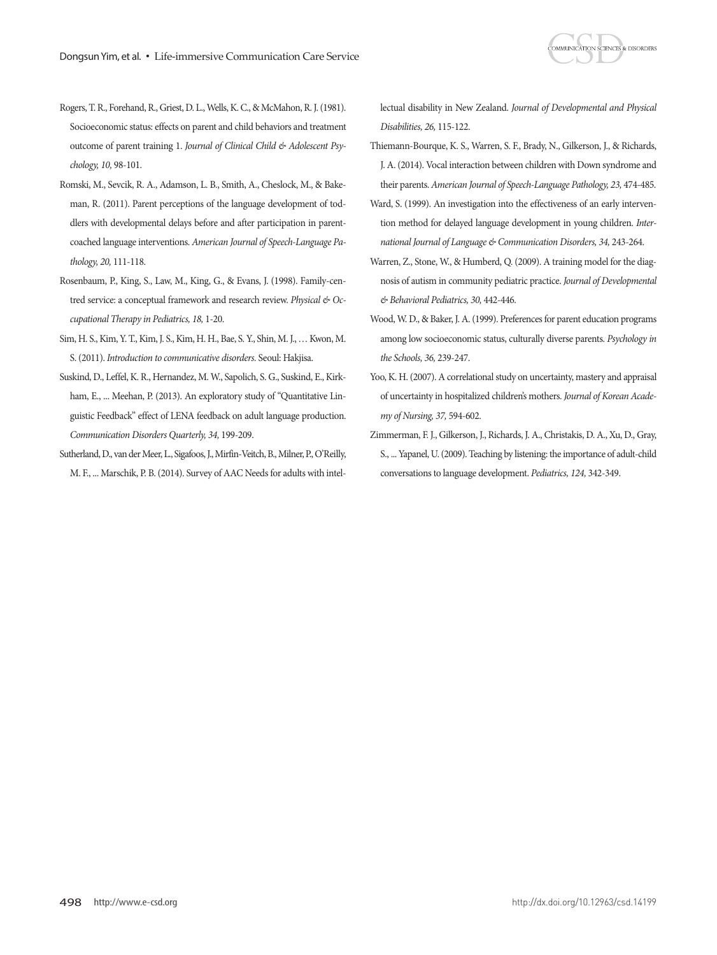

- Rogers, T. R., Forehand, R., Griest, D. L., Wells, K. C., & McMahon, R. J. (1981). Socioeconomic status: effects on parent and child behaviors and treatment outcome of parent training 1. *Journal of Clinical Child & Adolescent Psychology, 10,* 98-101.
- Romski, M., Sevcik, R. A., Adamson, L. B., Smith, A., Cheslock, M., & Bakeman, R. (2011). Parent perceptions of the language development of toddlers with developmental delays before and after participation in parentcoached language interventions. *American Journal of Speech-Language Pathology, 20,* 111-118.
- Rosenbaum, P., King, S., Law, M., King, G., & Evans, J. (1998). Family-centred service: a conceptual framework and research review. *Physical & Occupational Therapy in Pediatrics, 18,* 1-20.
- Sim, H. S., Kim, Y. T., Kim, J. S., Kim, H. H., Bae, S. Y., Shin, M. J., … Kwon, M. S. (2011). *Introduction to communicative disorders.* Seoul: Hakjisa.
- Suskind, D., Leffel, K. R., Hernandez, M. W., Sapolich, S. G., Suskind, E., Kirkham, E., ... Meehan, P. (2013). An exploratory study of "Quantitative Linguistic Feedback" effect of LENA feedback on adult language production. *Communication Disorders Quarterly, 34,* 199-209.
- Sutherland, D., van der Meer, L., Sigafoos, J., Mirfin-Veitch, B., Milner, P., O'Reilly, M. F., ... Marschik, P. B. (2014). Survey of AAC Needs for adults with intel-

lectual disability in New Zealand. *Journal of Developmental and Physical Disabilities, 26,* 115-122.

- Thiemann-Bourque, K. S., Warren, S. F., Brady, N., Gilkerson, J., & Richards, J. A. (2014). Vocal interaction between children with Down syndrome and their parents. *American Journal of Speech-Language Pathology, 23,* 474-485.
- Ward, S. (1999). An investigation into the effectiveness of an early intervention method for delayed language development in young children. *International Journal of Language & Communication Disorders, 34,* 243-264.
- Warren, Z., Stone, W., & Humberd, Q. (2009). A training model for the diagnosis of autism in community pediatric practice. *Journal of Developmental & Behavioral Pediatrics, 30,* 442-446.
- Wood, W. D., & Baker, J. A. (1999). Preferences for parent education programs among low socioeconomic status, culturally diverse parents. *Psychology in the Schools, 36,* 239-247.
- Yoo, K. H. (2007). A correlational study on uncertainty, mastery and appraisal of uncertainty in hospitalized children's mothers. *Journal of Korean Academy of Nursing, 37,* 594-602.
- Zimmerman, F. J., Gilkerson, J., Richards, J. A., Christakis, D. A., Xu, D., Gray, S., ... Yapanel, U. (2009). Teaching by listening: the importance of adult-child conversations to language development. *Pediatrics, 124,* 342-349.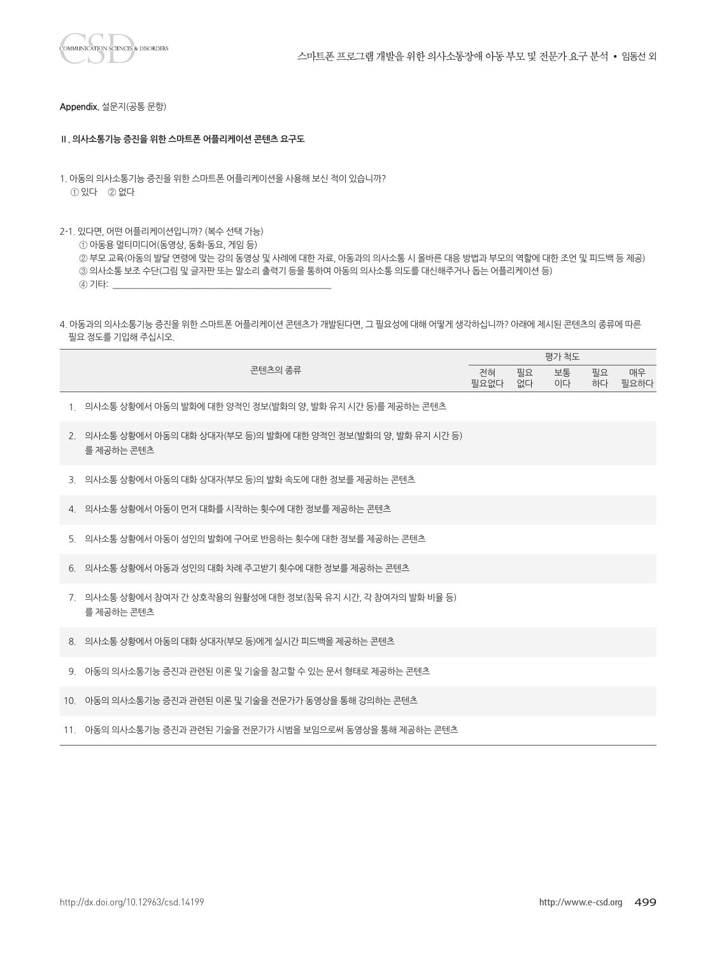

**Appendix.** 설문지(공통 문항)

#### **Ⅱ. 의사소통기능 증진을 위한 스마트폰 어플리케이션 콘텐츠 요구도**

- 1. 아동의 의사소통기능 증진을 위한 스마트폰 어플리케이션을 사용해 보신 적이 있습니까? ① 있다 ② 없다
- 2-1. 있다면, 어떤 어플리케이션입니까? (복수 선택 가능)

① 아동용 멀티미디어(동영상, 동화・동요, 게임 등)

 ② 부모 교육(아동의 발달 연령에 맞는 강의 동영상 및 사례에 대한 자료, 아동과의 의사소통 시 올바른 대응 방법과 부모의 역할에 대한 조언 및 피드백 등 제공) ③ 의사소통 보조 수단(그림 및 글자판 또는 말소리 출력기 등을 통하여 아동의 의사소통 의도를 대신해주거나 돕는 어플리케이션 등) 4 기타:

4. 아동과의 의사소통기능 증진을 위한 스마트폰 어플리케이션 콘텐츠가 개발된다면, 그 필요성에 대해 어떻게 생각하십니까? 아래에 제시된 콘텐츠의 종류에 따른 필요 정도를 기입해 주십시오.

| 콘텐츠의 종류                                                                       | 전혀<br>필요없다 | 필요<br>없다 | 보통<br>이다 | 필요 | 매우<br>하다 필요하다 |
|-------------------------------------------------------------------------------|------------|----------|----------|----|---------------|
| 1. _ 의사소통 상황에서 아동의 발화에 대한 양적인 정보(발화의 양, 발화 유지 시간 등)를 제공하는 콘텐츠                 |            |          |          |    |               |
| 2. 의사소통 상황에서 아동의 대화 상대자(부모 등)의 발화에 대한 양적인 정보(발화의 양, 발화 유지 시가 등)<br>를 제공하는 콘텐츠 |            |          |          |    |               |
| 3. 의사소통 상황에서 아동의 대화 상대자(부모 등)의 발화 속도에 대한 정보를 제공하는 콘텐츠                         |            |          |          |    |               |
| 4. 의사소통 상황에서 아동이 먼저 대화를 시작하는 횟수에 대한 정보를 제공하는 콘텐츠                              |            |          |          |    |               |
| 5. 의사소통 상황에서 아동이 성인의 발화에 구어로 반응하는 횟수에 대한 정보를 제공하는 콘텐츠                         |            |          |          |    |               |
| 6. _ 의사소통 상황에서 아동과 성인의 대화 차례 주고받기 횟수에 대한 정보를 제공하는 콘텐츠                         |            |          |          |    |               |
| 7. 의사소통 상황에서 참여자 간 상호작용의 원활성에 대한 정보(침묵 유지 시간, 각 참여자의 발화 비율 등)<br>'를 제공하는 콘텐츠  |            |          |          |    |               |
| 8. 의사소통 상황에서 아동의 대화 상대자(부모 등)에게 실시가 피드백을 제공하는 콘텐츠                             |            |          |          |    |               |
| 9. 아동의 의사소통기능 증진과 관련된 이론 및 기술을 참고할 수 있는 문서 형태로 제공하는 콘텐츠                       |            |          |          |    |               |
| 10. 아동의 의사소통기능 증진과 관련된 이론 및 기술을 전문가가 동영상을 통해 강의하는 콘텐츠                         |            |          |          |    |               |
| 11. 아동의 의사소통기능 증진과 관련된 기술을 전문가가 시범을 보임으로써 동영상을 통해 제공하는 콘텐츠                    |            |          |          |    |               |

평가 척도